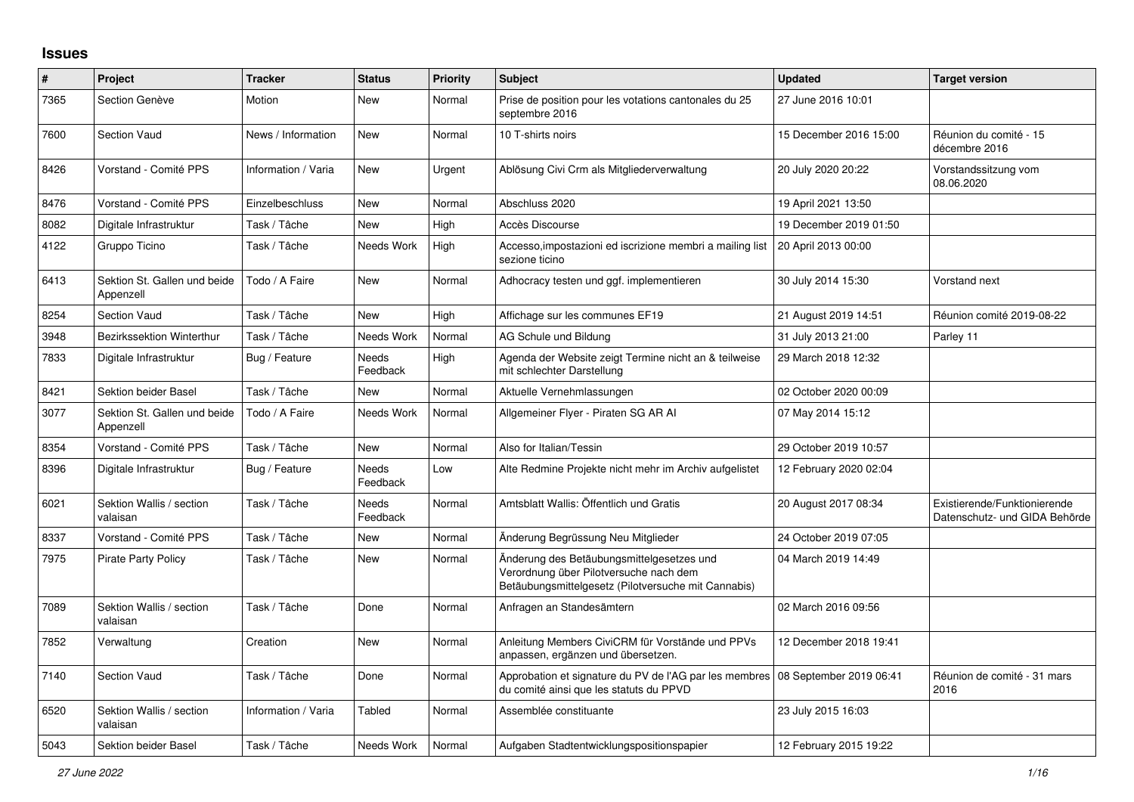## **Issues**

| $\vert$ # | Project                                   | <b>Tracker</b>      | <b>Status</b>            | <b>Priority</b> | <b>Subject</b>                                                                                                                             | <b>Updated</b>          | <b>Target version</b>                                         |
|-----------|-------------------------------------------|---------------------|--------------------------|-----------------|--------------------------------------------------------------------------------------------------------------------------------------------|-------------------------|---------------------------------------------------------------|
| 7365      | Section Genève                            | Motion              | New                      | Normal          | Prise de position pour les votations cantonales du 25<br>septembre 2016                                                                    | 27 June 2016 10:01      |                                                               |
| 7600      | Section Vaud                              | News / Information  | <b>New</b>               | Normal          | 10 T-shirts noirs                                                                                                                          | 15 December 2016 15:00  | Réunion du comité - 15<br>décembre 2016                       |
| 8426      | Vorstand - Comité PPS                     | Information / Varia | <b>New</b>               | Urgent          | Ablösung Civi Crm als Mitgliederverwaltung                                                                                                 | 20 July 2020 20:22      | Vorstandssitzung vom<br>08.06.2020                            |
| 8476      | Vorstand - Comité PPS                     | Einzelbeschluss     | <b>New</b>               | Normal          | Abschluss 2020                                                                                                                             | 19 April 2021 13:50     |                                                               |
| 8082      | Digitale Infrastruktur                    | Task / Tâche        | <b>New</b>               | High            | Accès Discourse                                                                                                                            | 19 December 2019 01:50  |                                                               |
| 4122      | Gruppo Ticino                             | Task / Tâche        | Needs Work               | High            | Accesso, impostazioni ed iscrizione membri a mailing list<br>sezione ticino                                                                | 20 April 2013 00:00     |                                                               |
| 6413      | Sektion St. Gallen und beide<br>Appenzell | Todo / A Faire      | New                      | Normal          | Adhocracy testen und ggf. implementieren                                                                                                   | 30 July 2014 15:30      | Vorstand next                                                 |
| 8254      | <b>Section Vaud</b>                       | Task / Tâche        | <b>New</b>               | High            | Affichage sur les communes EF19                                                                                                            | 21 August 2019 14:51    | Réunion comité 2019-08-22                                     |
| 3948      | Bezirkssektion Winterthur                 | Task / Tâche        | Needs Work               | Normal          | AG Schule und Bildung                                                                                                                      | 31 July 2013 21:00      | Parley 11                                                     |
| 7833      | Digitale Infrastruktur                    | Bug / Feature       | <b>Needs</b><br>Feedback | High            | Agenda der Website zeigt Termine nicht an & teilweise<br>mit schlechter Darstellung                                                        | 29 March 2018 12:32     |                                                               |
| 8421      | Sektion beider Basel                      | Task / Tâche        | <b>New</b>               | Normal          | Aktuelle Vernehmlassungen                                                                                                                  | 02 October 2020 00:09   |                                                               |
| 3077      | Sektion St. Gallen und beide<br>Appenzell | Todo / A Faire      | Needs Work               | Normal          | Allgemeiner Flyer - Piraten SG AR AI                                                                                                       | 07 May 2014 15:12       |                                                               |
| 8354      | Vorstand - Comité PPS                     | Task / Tâche        | <b>New</b>               | Normal          | Also for Italian/Tessin                                                                                                                    | 29 October 2019 10:57   |                                                               |
| 8396      | Digitale Infrastruktur                    | Bug / Feature       | Needs<br>Feedback        | Low             | Alte Redmine Projekte nicht mehr im Archiv aufgelistet                                                                                     | 12 February 2020 02:04  |                                                               |
| 6021      | Sektion Wallis / section<br>valaisan      | Task / Tâche        | <b>Needs</b><br>Feedback | Normal          | Amtsblatt Wallis: Öffentlich und Gratis                                                                                                    | 20 August 2017 08:34    | Existierende/Funktionierende<br>Datenschutz- und GIDA Behörde |
| 8337      | Vorstand - Comité PPS                     | Task / Tâche        | <b>New</b>               | Normal          | Änderung Begrüssung Neu Mitglieder                                                                                                         | 24 October 2019 07:05   |                                                               |
| 7975      | <b>Pirate Party Policy</b>                | Task / Tâche        | <b>New</b>               | Normal          | Änderung des Betäubungsmittelgesetzes und<br>Verordnung über Pilotversuche nach dem<br>Betäubungsmittelgesetz (Pilotversuche mit Cannabis) | 04 March 2019 14:49     |                                                               |
| 7089      | Sektion Wallis / section<br>valaisan      | Task / Tâche        | Done                     | Normal          | Anfragen an Standesämtern                                                                                                                  | 02 March 2016 09:56     |                                                               |
| 7852      | Verwaltung                                | Creation            | <b>New</b>               | Normal          | Anleitung Members CiviCRM für Vorstände und PPVs<br>anpassen, ergänzen und übersetzen.                                                     | 12 December 2018 19:41  |                                                               |
| 7140      | <b>Section Vaud</b>                       | Task / Tâche        | Done                     | Normal          | Approbation et signature du PV de l'AG par les membres<br>du comité ainsi que les statuts du PPVD                                          | 08 September 2019 06:41 | Réunion de comité - 31 mars<br>2016                           |
| 6520      | Sektion Wallis / section<br>valaisan      | Information / Varia | Tabled                   | Normal          | Assemblée constituante                                                                                                                     | 23 July 2015 16:03      |                                                               |
| 5043      | Sektion beider Basel                      | Task / Tâche        | Needs Work               | Normal          | Aufgaben Stadtentwicklungspositionspapier                                                                                                  | 12 February 2015 19:22  |                                                               |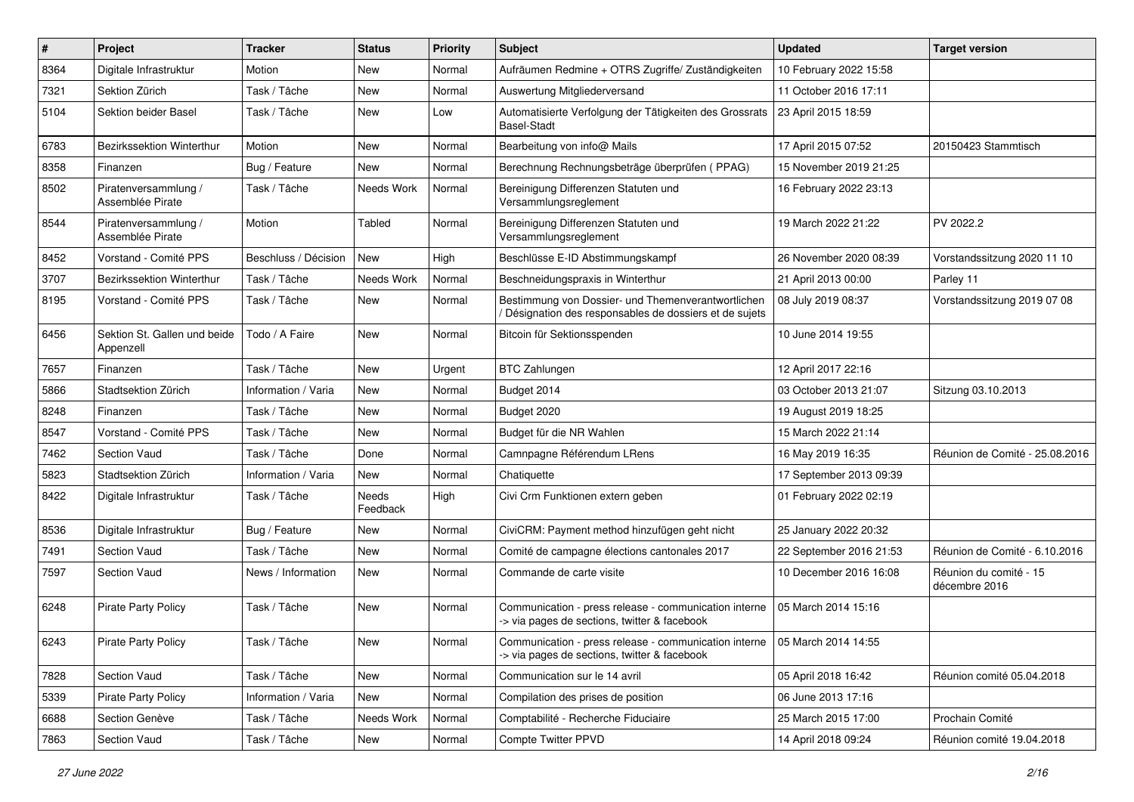| #    | Project                                   | <b>Tracker</b>       | <b>Status</b>     | <b>Priority</b> | <b>Subject</b>                                                                                                              | <b>Updated</b>          | <b>Target version</b>                   |
|------|-------------------------------------------|----------------------|-------------------|-----------------|-----------------------------------------------------------------------------------------------------------------------------|-------------------------|-----------------------------------------|
| 8364 | Digitale Infrastruktur                    | Motion               | New               | Normal          | Aufräumen Redmine + OTRS Zugriffe/ Zuständigkeiten                                                                          | 10 February 2022 15:58  |                                         |
| 7321 | Sektion Zürich                            | Task / Tâche         | <b>New</b>        | Normal          | Auswertung Mitgliederversand                                                                                                | 11 October 2016 17:11   |                                         |
| 5104 | Sektion beider Basel                      | Task / Tâche         | New               | Low             | Automatisierte Verfolgung der Tätigkeiten des Grossrats<br><b>Basel-Stadt</b>                                               | 23 April 2015 18:59     |                                         |
| 6783 | Bezirkssektion Winterthur                 | Motion               | <b>New</b>        | Normal          | Bearbeitung von info@ Mails                                                                                                 | 17 April 2015 07:52     | 20150423 Stammtisch                     |
| 8358 | Finanzen                                  | Bug / Feature        | New               | Normal          | Berechnung Rechnungsbeträge überprüfen (PPAG)                                                                               | 15 November 2019 21:25  |                                         |
| 8502 | Piratenversammlung /<br>Assemblée Pirate  | Task / Tâche         | Needs Work        | Normal          | Bereinigung Differenzen Statuten und<br>Versammlungsreglement                                                               | 16 February 2022 23:13  |                                         |
| 8544 | Piratenversammlung /<br>Assemblée Pirate  | Motion               | Tabled            | Normal          | Bereinigung Differenzen Statuten und<br>Versammlungsreglement                                                               | 19 March 2022 21:22     | PV 2022.2                               |
| 8452 | Vorstand - Comité PPS                     | Beschluss / Décision | New               | High            | Beschlüsse E-ID Abstimmungskampf                                                                                            | 26 November 2020 08:39  | Vorstandssitzung 2020 11 10             |
| 3707 | Bezirkssektion Winterthur                 | Task / Tâche         | Needs Work        | Normal          | Beschneidungspraxis in Winterthur                                                                                           | 21 April 2013 00:00     | Parley 11                               |
| 8195 | Vorstand - Comité PPS                     | Task / Tâche         | <b>New</b>        | Normal          | Bestimmung von Dossier- und Themenverantwortlichen<br>Désignation des responsables de dossiers et de sujets                 | 08 July 2019 08:37      | Vorstandssitzung 2019 07 08             |
| 6456 | Sektion St. Gallen und beide<br>Appenzell | Todo / A Faire       | New               | Normal          | Bitcoin für Sektionsspenden                                                                                                 | 10 June 2014 19:55      |                                         |
| 7657 | Finanzen                                  | Task / Tâche         | New               | Urgent          | <b>BTC Zahlungen</b>                                                                                                        | 12 April 2017 22:16     |                                         |
| 5866 | Stadtsektion Zürich                       | Information / Varia  | <b>New</b>        | Normal          | Budget 2014                                                                                                                 | 03 October 2013 21:07   | Sitzung 03.10.2013                      |
| 8248 | Finanzen                                  | Task / Tâche         | New               | Normal          | Budget 2020                                                                                                                 | 19 August 2019 18:25    |                                         |
| 8547 | Vorstand - Comité PPS                     | Task / Tâche         | New               | Normal          | Budget für die NR Wahlen                                                                                                    | 15 March 2022 21:14     |                                         |
| 7462 | Section Vaud                              | Task / Tâche         | Done              | Normal          | Camnpagne Référendum LRens                                                                                                  | 16 May 2019 16:35       | Réunion de Comité - 25.08.2016          |
| 5823 | Stadtsektion Zürich                       | Information / Varia  | New               | Normal          | Chatiquette                                                                                                                 | 17 September 2013 09:39 |                                         |
| 8422 | Digitale Infrastruktur                    | Task / Tâche         | Needs<br>Feedback | High            | Civi Crm Funktionen extern geben                                                                                            | 01 February 2022 02:19  |                                         |
| 8536 | Digitale Infrastruktur                    | Bug / Feature        | New               | Normal          | CiviCRM: Payment method hinzufügen geht nicht                                                                               | 25 January 2022 20:32   |                                         |
| 7491 | Section Vaud                              | Task / Tâche         | <b>New</b>        | Normal          | Comité de campagne élections cantonales 2017                                                                                | 22 September 2016 21:53 | Réunion de Comité - 6.10.2016           |
| 7597 | Section Vaud                              | News / Information   | <b>New</b>        | Normal          | Commande de carte visite                                                                                                    | 10 December 2016 16:08  | Réunion du comité - 15<br>décembre 2016 |
| 6248 | <b>Pirate Party Policy</b>                | Task / Tâche         | <b>New</b>        | Normal          | Communication - press release - communication interne<br>-> via pages de sections, twitter & facebook                       | 05 March 2014 15:16     |                                         |
| 6243 | Pirate Party Policy                       | Task / Tâche         | New               | Normal          | Communication - press release - communication interne   05 March 2014 14:55<br>-> via pages de sections, twitter & facebook |                         |                                         |
| 7828 | Section Vaud                              | Task / Tâche         | New               | Normal          | Communication sur le 14 avril                                                                                               | 05 April 2018 16:42     | Réunion comité 05.04.2018               |
| 5339 | <b>Pirate Party Policy</b>                | Information / Varia  | New               | Normal          | Compilation des prises de position                                                                                          | 06 June 2013 17:16      |                                         |
| 6688 | Section Genève                            | Task / Tâche         | Needs Work        | Normal          | Comptabilité - Recherche Fiduciaire                                                                                         | 25 March 2015 17:00     | Prochain Comité                         |
| 7863 | Section Vaud                              | Task / Tâche         | New               | Normal          | Compte Twitter PPVD                                                                                                         | 14 April 2018 09:24     | Réunion comité 19.04.2018               |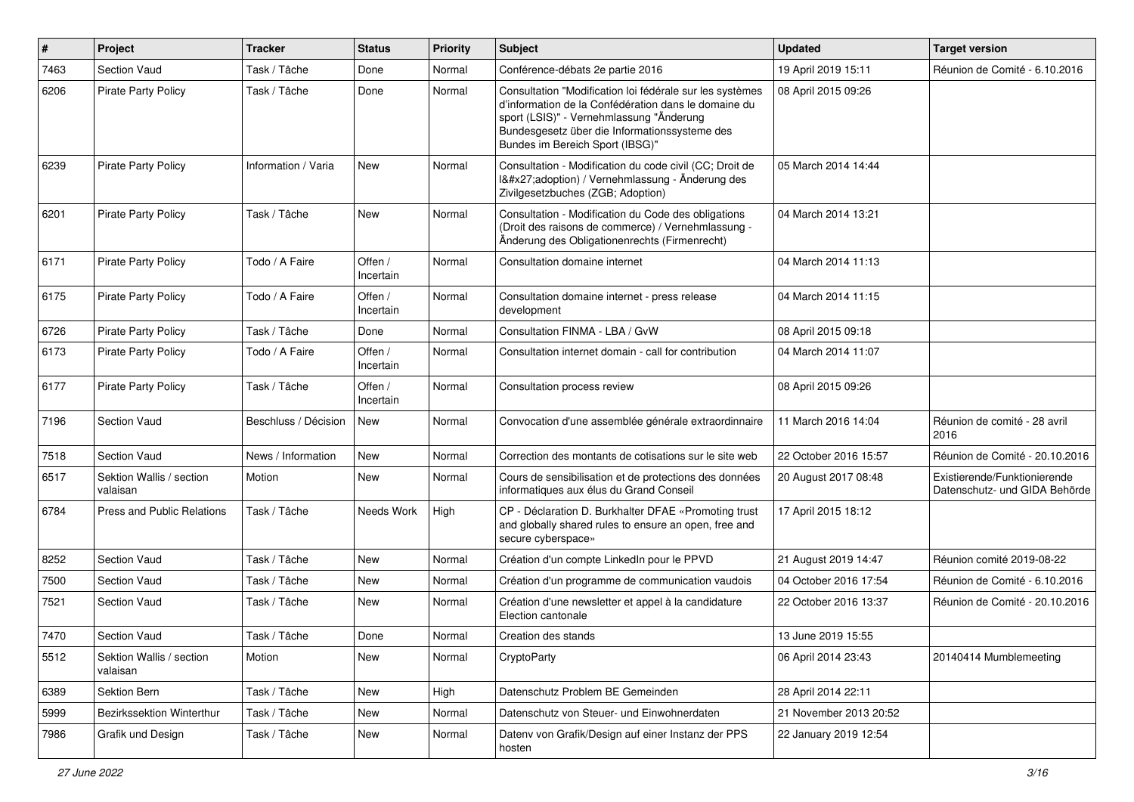| $\#$ | Project                              | <b>Tracker</b>       | <b>Status</b>        | <b>Priority</b> | <b>Subject</b>                                                                                                                                                                                                                                   | <b>Updated</b>         | <b>Target version</b>                                         |
|------|--------------------------------------|----------------------|----------------------|-----------------|--------------------------------------------------------------------------------------------------------------------------------------------------------------------------------------------------------------------------------------------------|------------------------|---------------------------------------------------------------|
| 7463 | Section Vaud                         | Task / Tâche         | Done                 | Normal          | Conférence-débats 2e partie 2016                                                                                                                                                                                                                 | 19 April 2019 15:11    | Réunion de Comité - 6.10.2016                                 |
| 6206 | <b>Pirate Party Policy</b>           | Task / Tâche         | Done                 | Normal          | Consultation "Modification loi fédérale sur les systèmes<br>d'information de la Confédération dans le domaine du<br>sport (LSIS)" - Vernehmlassung "Änderung<br>Bundesgesetz über die Informationssysteme des<br>Bundes im Bereich Sport (IBSG)" | 08 April 2015 09:26    |                                                               |
| 6239 | <b>Pirate Party Policy</b>           | Information / Varia  | New                  | Normal          | Consultation - Modification du code civil (CC; Droit de<br>I'adoption) / Vernehmlassung - Änderung des<br>Zivilgesetzbuches (ZGB; Adoption)                                                                                                      | 05 March 2014 14:44    |                                                               |
| 6201 | <b>Pirate Party Policy</b>           | Task / Tâche         | <b>New</b>           | Normal          | Consultation - Modification du Code des obligations<br>(Droit des raisons de commerce) / Vernehmlassung -<br>Änderung des Obligationenrechts (Firmenrecht)                                                                                       | 04 March 2014 13:21    |                                                               |
| 6171 | <b>Pirate Party Policy</b>           | Todo / A Faire       | Offen /<br>Incertain | Normal          | Consultation domaine internet                                                                                                                                                                                                                    | 04 March 2014 11:13    |                                                               |
| 6175 | <b>Pirate Party Policy</b>           | Todo / A Faire       | Offen /<br>Incertain | Normal          | Consultation domaine internet - press release<br>development                                                                                                                                                                                     | 04 March 2014 11:15    |                                                               |
| 6726 | <b>Pirate Party Policy</b>           | Task / Tâche         | Done                 | Normal          | Consultation FINMA - LBA / GvW                                                                                                                                                                                                                   | 08 April 2015 09:18    |                                                               |
| 6173 | <b>Pirate Party Policy</b>           | Todo / A Faire       | Offen /<br>Incertain | Normal          | Consultation internet domain - call for contribution                                                                                                                                                                                             | 04 March 2014 11:07    |                                                               |
| 6177 | <b>Pirate Party Policy</b>           | Task / Tâche         | Offen /<br>Incertain | Normal          | Consultation process review                                                                                                                                                                                                                      | 08 April 2015 09:26    |                                                               |
| 7196 | <b>Section Vaud</b>                  | Beschluss / Décision | <b>New</b>           | Normal          | Convocation d'une assemblée générale extraordinnaire                                                                                                                                                                                             | 11 March 2016 14:04    | Réunion de comité - 28 avril<br>2016                          |
| 7518 | Section Vaud                         | News / Information   | <b>New</b>           | Normal          | Correction des montants de cotisations sur le site web                                                                                                                                                                                           | 22 October 2016 15:57  | Réunion de Comité - 20.10.2016                                |
| 6517 | Sektion Wallis / section<br>valaisan | Motion               | New                  | Normal          | Cours de sensibilisation et de protections des données<br>informatiques aux élus du Grand Conseil                                                                                                                                                | 20 August 2017 08:48   | Existierende/Funktionierende<br>Datenschutz- und GIDA Behörde |
| 6784 | Press and Public Relations           | Task / Tâche         | Needs Work           | High            | CP - Déclaration D. Burkhalter DFAE «Promoting trust<br>and globally shared rules to ensure an open, free and<br>secure cyberspace»                                                                                                              | 17 April 2015 18:12    |                                                               |
| 8252 | Section Vaud                         | Task / Tâche         | New                  | Normal          | Création d'un compte LinkedIn pour le PPVD                                                                                                                                                                                                       | 21 August 2019 14:47   | Réunion comité 2019-08-22                                     |
| 7500 | Section Vaud                         | Task / Tâche         | New                  | Normal          | Création d'un programme de communication vaudois                                                                                                                                                                                                 | 04 October 2016 17:54  | Réunion de Comité - 6.10.2016                                 |
| 7521 | <b>Section Vaud</b>                  | Task / Tâche         | New                  | Normal          | Création d'une newsletter et appel à la candidature<br>Election cantonale                                                                                                                                                                        | 22 October 2016 13:37  | Réunion de Comité - 20.10.2016                                |
| 7470 | <b>Section Vaud</b>                  | Task / Tâche         | Done                 | Normal          | Creation des stands                                                                                                                                                                                                                              | 13 June 2019 15:55     |                                                               |
| 5512 | Sektion Wallis / section<br>valaisan | Motion               | New                  | Normal          | CryptoParty                                                                                                                                                                                                                                      | 06 April 2014 23:43    | 20140414 Mumblemeeting                                        |
| 6389 | Sektion Bern                         | Task / Tâche         | New                  | High            | Datenschutz Problem BE Gemeinden                                                                                                                                                                                                                 | 28 April 2014 22:11    |                                                               |
| 5999 | Bezirkssektion Winterthur            | Task / Tâche         | New                  | Normal          | Datenschutz von Steuer- und Einwohnerdaten                                                                                                                                                                                                       | 21 November 2013 20:52 |                                                               |
| 7986 | Grafik und Design                    | Task / Tâche         | New                  | Normal          | Datenv von Grafik/Design auf einer Instanz der PPS<br>hosten                                                                                                                                                                                     | 22 January 2019 12:54  |                                                               |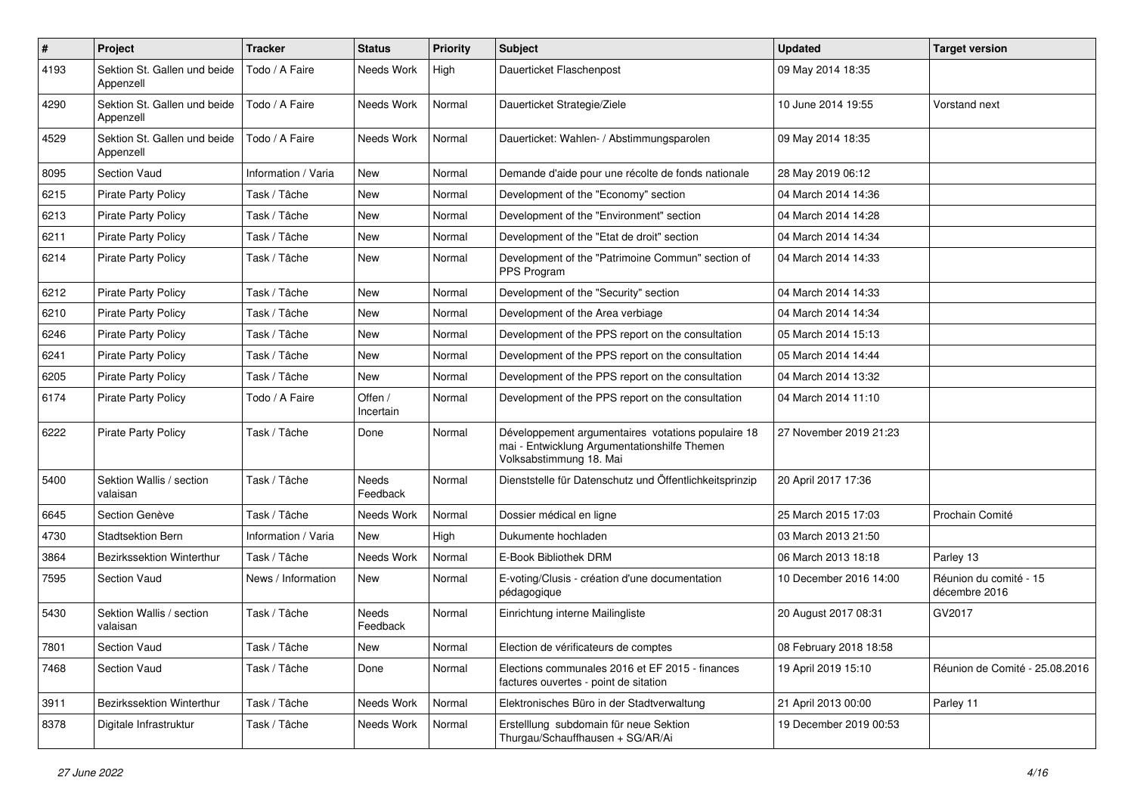| $\sharp$ | Project                                   | <b>Tracker</b>      | <b>Status</b>            | <b>Priority</b> | <b>Subject</b>                                                                                                                | <b>Updated</b>         | <b>Target version</b>                   |
|----------|-------------------------------------------|---------------------|--------------------------|-----------------|-------------------------------------------------------------------------------------------------------------------------------|------------------------|-----------------------------------------|
| 4193     | Sektion St. Gallen und beide<br>Appenzell | Todo / A Faire      | Needs Work               | High            | Dauerticket Flaschenpost                                                                                                      | 09 May 2014 18:35      |                                         |
| 4290     | Sektion St. Gallen und beide<br>Appenzell | Todo / A Faire      | Needs Work               | Normal          | Dauerticket Strategie/Ziele                                                                                                   | 10 June 2014 19:55     | Vorstand next                           |
| 4529     | Sektion St. Gallen und beide<br>Appenzell | Todo / A Faire      | Needs Work               | Normal          | Dauerticket: Wahlen- / Abstimmungsparolen                                                                                     | 09 May 2014 18:35      |                                         |
| 8095     | Section Vaud                              | Information / Varia | <b>New</b>               | Normal          | Demande d'aide pour une récolte de fonds nationale                                                                            | 28 May 2019 06:12      |                                         |
| 6215     | <b>Pirate Party Policy</b>                | Task / Tâche        | New                      | Normal          | Development of the "Economy" section                                                                                          | 04 March 2014 14:36    |                                         |
| 6213     | <b>Pirate Party Policy</b>                | Task / Tâche        | <b>New</b>               | Normal          | Development of the "Environment" section                                                                                      | 04 March 2014 14:28    |                                         |
| 6211     | Pirate Party Policy                       | Task / Tâche        | New                      | Normal          | Development of the "Etat de droit" section                                                                                    | 04 March 2014 14:34    |                                         |
| 6214     | <b>Pirate Party Policy</b>                | Task / Tâche        | New                      | Normal          | Development of the "Patrimoine Commun" section of<br>PPS Program                                                              | 04 March 2014 14:33    |                                         |
| 6212     | Pirate Party Policy                       | Task / Tâche        | <b>New</b>               | Normal          | Development of the "Security" section                                                                                         | 04 March 2014 14:33    |                                         |
| 6210     | <b>Pirate Party Policy</b>                | Task / Tâche        | New                      | Normal          | Development of the Area verbiage                                                                                              | 04 March 2014 14:34    |                                         |
| 6246     | <b>Pirate Party Policy</b>                | Task / Tâche        | <b>New</b>               | Normal          | Development of the PPS report on the consultation                                                                             | 05 March 2014 15:13    |                                         |
| 6241     | <b>Pirate Party Policy</b>                | Task / Tâche        | New                      | Normal          | Development of the PPS report on the consultation                                                                             | 05 March 2014 14:44    |                                         |
| 6205     | <b>Pirate Party Policy</b>                | Task / Tâche        | New                      | Normal          | Development of the PPS report on the consultation                                                                             | 04 March 2014 13:32    |                                         |
| 6174     | <b>Pirate Party Policy</b>                | Todo / A Faire      | Offen /<br>Incertain     | Normal          | Development of the PPS report on the consultation                                                                             | 04 March 2014 11:10    |                                         |
| 6222     | <b>Pirate Party Policy</b>                | Task / Tâche        | Done                     | Normal          | Développement argumentaires votations populaire 18<br>mai - Entwicklung Argumentationshilfe Themen<br>Volksabstimmung 18. Mai | 27 November 2019 21:23 |                                         |
| 5400     | Sektion Wallis / section<br>valaisan      | Task / Tâche        | <b>Needs</b><br>Feedback | Normal          | Dienststelle für Datenschutz und Öffentlichkeitsprinzip                                                                       | 20 April 2017 17:36    |                                         |
| 6645     | Section Genève                            | Task / Tâche        | Needs Work               | Normal          | Dossier médical en ligne                                                                                                      | 25 March 2015 17:03    | Prochain Comité                         |
| 4730     | <b>Stadtsektion Bern</b>                  | Information / Varia | <b>New</b>               | High            | Dukumente hochladen                                                                                                           | 03 March 2013 21:50    |                                         |
| 3864     | Bezirkssektion Winterthur                 | Task / Tâche        | Needs Work               | Normal          | E-Book Bibliothek DRM                                                                                                         | 06 March 2013 18:18    | Parley 13                               |
| 7595     | Section Vaud                              | News / Information  | New                      | Normal          | E-voting/Clusis - création d'une documentation<br>pédagogique                                                                 | 10 December 2016 14:00 | Réunion du comité - 15<br>décembre 2016 |
| 5430     | Sektion Wallis / section<br>valaisan      | Task / Tâche        | Needs<br>Feedback        | Normal          | Einrichtung interne Mailingliste                                                                                              | 20 August 2017 08:31   | GV2017                                  |
| 7801     | <b>Section Vaud</b>                       | Task / Tâche        | New                      | Normal          | Election de vérificateurs de comptes                                                                                          | 08 February 2018 18:58 |                                         |
| 7468     | Section Vaud                              | Task / Tâche        | Done                     | Normal          | Elections communales 2016 et EF 2015 - finances<br>factures ouvertes - point de sitation                                      | 19 April 2019 15:10    | Réunion de Comité - 25.08.2016          |
| 3911     | Bezirkssektion Winterthur                 | Task / Tâche        | Needs Work               | Normal          | Elektronisches Büro in der Stadtverwaltung                                                                                    | 21 April 2013 00:00    | Parley 11                               |
| 8378     | Digitale Infrastruktur                    | Task / Tâche        | Needs Work               | Normal          | Erstelllung subdomain für neue Sektion<br>Thurgau/Schauffhausen + SG/AR/Ai                                                    | 19 December 2019 00:53 |                                         |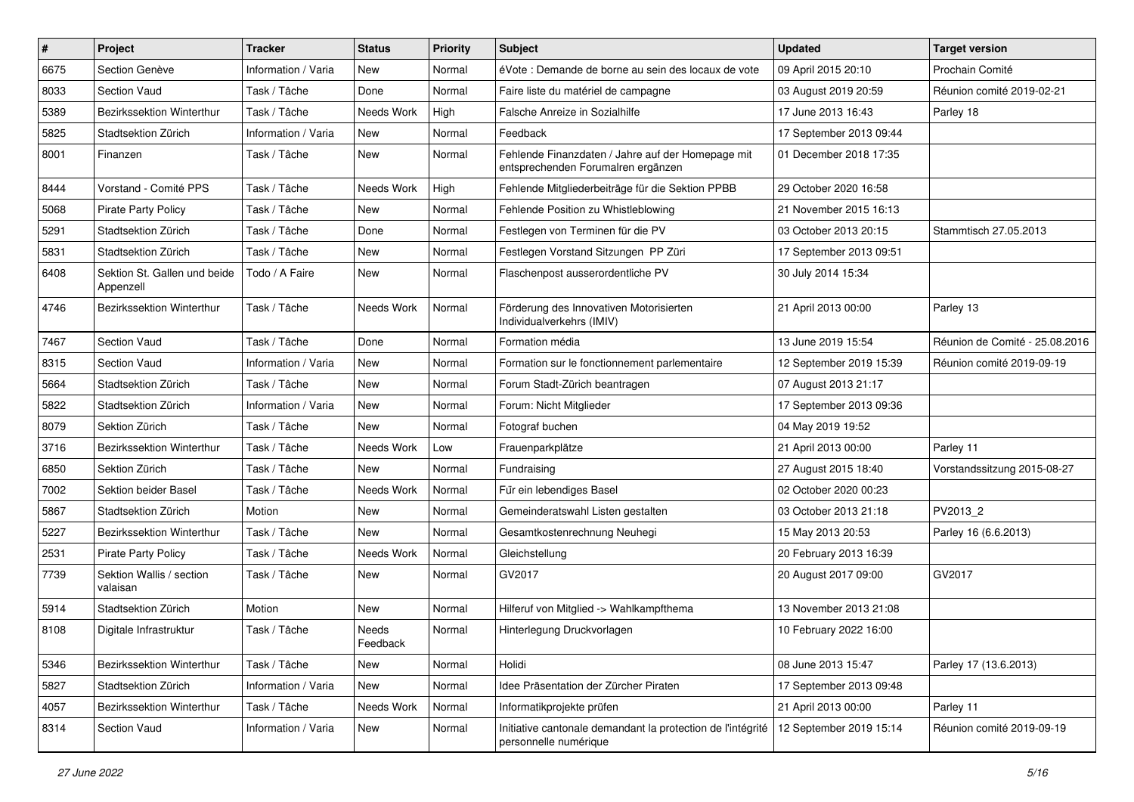| $\pmb{\#}$ | Project                                   | <b>Tracker</b>      | <b>Status</b>     | <b>Priority</b> | Subject                                                                                 | <b>Updated</b>          | <b>Target version</b>          |
|------------|-------------------------------------------|---------------------|-------------------|-----------------|-----------------------------------------------------------------------------------------|-------------------------|--------------------------------|
| 6675       | Section Genève                            | Information / Varia | New               | Normal          | éVote : Demande de borne au sein des locaux de vote                                     | 09 April 2015 20:10     | Prochain Comité                |
| 8033       | <b>Section Vaud</b>                       | Task / Tâche        | Done              | Normal          | Faire liste du matériel de campagne                                                     | 03 August 2019 20:59    | Réunion comité 2019-02-21      |
| 5389       | Bezirkssektion Winterthur                 | Task / Tâche        | Needs Work        | High            | Falsche Anreize in Sozialhilfe                                                          | 17 June 2013 16:43      | Parley 18                      |
| 5825       | Stadtsektion Zürich                       | Information / Varia | New               | Normal          | Feedback                                                                                | 17 September 2013 09:44 |                                |
| 8001       | Finanzen                                  | Task / Tâche        | New               | Normal          | Fehlende Finanzdaten / Jahre auf der Homepage mit<br>entsprechenden Forumalren ergänzen | 01 December 2018 17:35  |                                |
| 8444       | Vorstand - Comité PPS                     | Task / Tâche        | Needs Work        | High            | Fehlende Mitgliederbeiträge für die Sektion PPBB                                        | 29 October 2020 16:58   |                                |
| 5068       | <b>Pirate Party Policy</b>                | Task / Tâche        | New               | Normal          | Fehlende Position zu Whistleblowing                                                     | 21 November 2015 16:13  |                                |
| 5291       | Stadtsektion Zürich                       | Task / Tâche        | Done              | Normal          | Festlegen von Terminen für die PV                                                       | 03 October 2013 20:15   | Stammtisch 27.05.2013          |
| 5831       | Stadtsektion Zürich                       | Task / Tâche        | <b>New</b>        | Normal          | Festlegen Vorstand Sitzungen PP Züri                                                    | 17 September 2013 09:51 |                                |
| 6408       | Sektion St. Gallen und beide<br>Appenzell | Todo / A Faire      | New               | Normal          | Flaschenpost ausserordentliche PV                                                       | 30 July 2014 15:34      |                                |
| 4746       | Bezirkssektion Winterthur                 | Task / Tâche        | Needs Work        | Normal          | Förderung des Innovativen Motorisierten<br>Individualverkehrs (IMIV)                    | 21 April 2013 00:00     | Parley 13                      |
| 7467       | Section Vaud                              | Task / Tâche        | Done              | Normal          | Formation média                                                                         | 13 June 2019 15:54      | Réunion de Comité - 25.08.2016 |
| 8315       | <b>Section Vaud</b>                       | Information / Varia | New               | Normal          | Formation sur le fonctionnement parlementaire                                           | 12 September 2019 15:39 | Réunion comité 2019-09-19      |
| 5664       | Stadtsektion Zürich                       | Task / Tâche        | <b>New</b>        | Normal          | Forum Stadt-Zürich beantragen                                                           | 07 August 2013 21:17    |                                |
| 5822       | Stadtsektion Zürich                       | Information / Varia | <b>New</b>        | Normal          | Forum: Nicht Mitglieder                                                                 | 17 September 2013 09:36 |                                |
| 8079       | Sektion Zürich                            | Task / Tâche        | New               | Normal          | Fotograf buchen                                                                         | 04 May 2019 19:52       |                                |
| 3716       | Bezirkssektion Winterthur                 | Task / Tâche        | Needs Work        | Low             | Frauenparkplätze                                                                        | 21 April 2013 00:00     | Parley 11                      |
| 6850       | Sektion Zürich                            | Task / Tâche        | New               | Normal          | Fundraising                                                                             | 27 August 2015 18:40    | Vorstandssitzung 2015-08-27    |
| 7002       | Sektion beider Basel                      | Task / Tâche        | Needs Work        | Normal          | Für ein lebendiges Basel                                                                | 02 October 2020 00:23   |                                |
| 5867       | Stadtsektion Zürich                       | Motion              | <b>New</b>        | Normal          | Gemeinderatswahl Listen gestalten                                                       | 03 October 2013 21:18   | PV2013_2                       |
| 5227       | Bezirkssektion Winterthur                 | Task / Tâche        | New               | Normal          | Gesamtkostenrechnung Neuhegi                                                            | 15 May 2013 20:53       | Parley 16 (6.6.2013)           |
| 2531       | <b>Pirate Party Policy</b>                | Task / Tâche        | Needs Work        | Normal          | Gleichstellung                                                                          | 20 February 2013 16:39  |                                |
| 7739       | Sektion Wallis / section<br>valaisan      | Task / Tâche        | New               | Normal          | GV2017                                                                                  | 20 August 2017 09:00    | GV2017                         |
| 5914       | Stadtsektion Zürich                       | Motion              | <b>New</b>        | Normal          | Hilferuf von Mitglied -> Wahlkampfthema                                                 | 13 November 2013 21:08  |                                |
| 8108       | Digitale Infrastruktur                    | Task / Tâche        | Needs<br>Feedback | Normal          | Hinterlegung Druckvorlagen                                                              | 10 February 2022 16:00  |                                |
| 5346       | Bezirkssektion Winterthur                 | Task / Tâche        | <b>New</b>        | Normal          | Holidi                                                                                  | 08 June 2013 15:47      | Parley 17 (13.6.2013)          |
| 5827       | Stadtsektion Zürich                       | Information / Varia | New               | Normal          | Idee Präsentation der Zürcher Piraten                                                   | 17 September 2013 09:48 |                                |
| 4057       | <b>Bezirkssektion Winterthur</b>          | Task / Tâche        | Needs Work        | Normal          | Informatikprojekte prüfen                                                               | 21 April 2013 00:00     | Parley 11                      |
| 8314       | Section Vaud                              | Information / Varia | New               | Normal          | Initiative cantonale demandant la protection de l'intégrité<br>personnelle numérique    | 12 September 2019 15:14 | Réunion comité 2019-09-19      |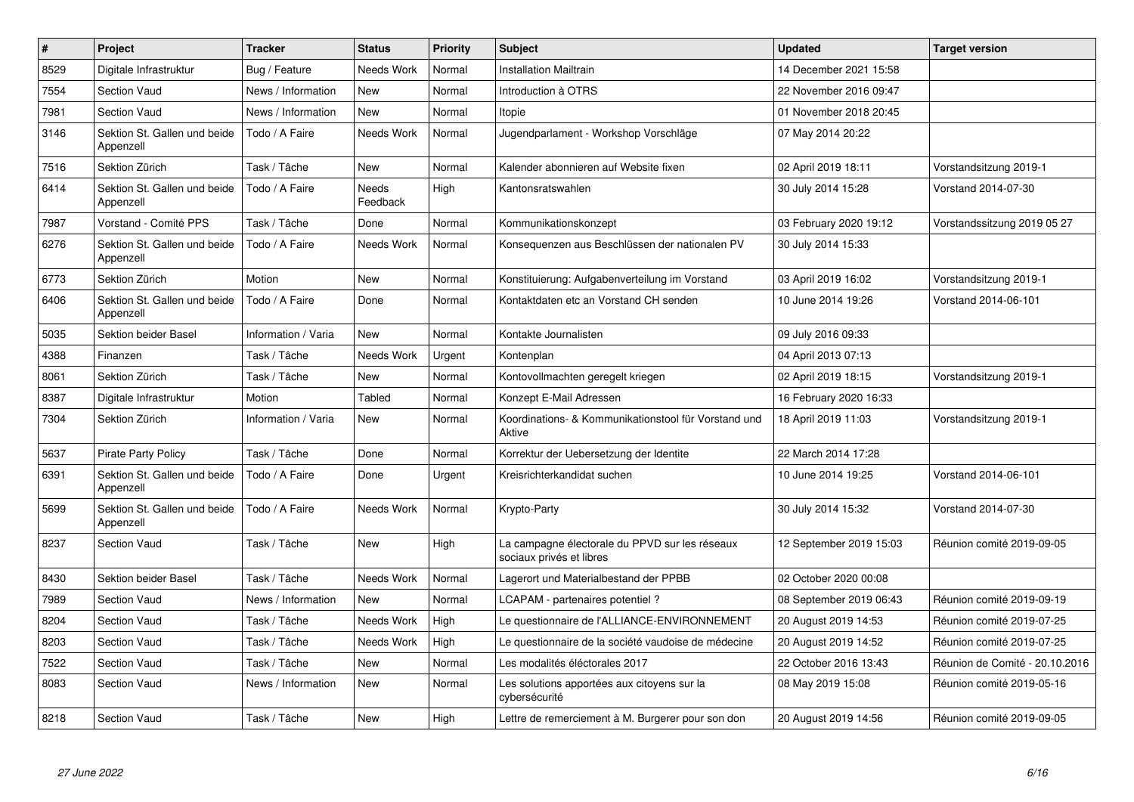| $\pmb{\#}$ | Project                                   | <b>Tracker</b>      | <b>Status</b>     | <b>Priority</b> | <b>Subject</b>                                                             | <b>Updated</b>          | <b>Target version</b>          |
|------------|-------------------------------------------|---------------------|-------------------|-----------------|----------------------------------------------------------------------------|-------------------------|--------------------------------|
| 8529       | Digitale Infrastruktur                    | Bug / Feature       | <b>Needs Work</b> | Normal          | <b>Installation Mailtrain</b>                                              | 14 December 2021 15:58  |                                |
| 7554       | <b>Section Vaud</b>                       | News / Information  | <b>New</b>        | Normal          | Introduction à OTRS                                                        | 22 November 2016 09:47  |                                |
| 7981       | <b>Section Vaud</b>                       | News / Information  | New               | Normal          | Itopie                                                                     | 01 November 2018 20:45  |                                |
| 3146       | Sektion St. Gallen und beide<br>Appenzell | Todo / A Faire      | <b>Needs Work</b> | Normal          | Jugendparlament - Workshop Vorschläge                                      | 07 May 2014 20:22       |                                |
| 7516       | Sektion Zürich                            | Task / Tâche        | New               | Normal          | Kalender abonnieren auf Website fixen                                      | 02 April 2019 18:11     | Vorstandsitzung 2019-1         |
| 6414       | Sektion St. Gallen und beide<br>Appenzell | Todo / A Faire      | Needs<br>Feedback | High            | Kantonsratswahlen                                                          | 30 July 2014 15:28      | Vorstand 2014-07-30            |
| 7987       | Vorstand - Comité PPS                     | Task / Tâche        | Done              | Normal          | Kommunikationskonzept                                                      | 03 February 2020 19:12  | Vorstandssitzung 2019 05 27    |
| 6276       | Sektion St. Gallen und beide<br>Appenzell | Todo / A Faire      | Needs Work        | Normal          | Konsequenzen aus Beschlüssen der nationalen PV                             | 30 July 2014 15:33      |                                |
| 6773       | Sektion Zürich                            | Motion              | New               | Normal          | Konstituierung: Aufgabenverteilung im Vorstand                             | 03 April 2019 16:02     | Vorstandsitzung 2019-1         |
| 6406       | Sektion St. Gallen und beide<br>Appenzell | Todo / A Faire      | Done              | Normal          | Kontaktdaten etc an Vorstand CH senden                                     | 10 June 2014 19:26      | Vorstand 2014-06-101           |
| 5035       | <b>Sektion beider Basel</b>               | Information / Varia | New               | Normal          | Kontakte Journalisten                                                      | 09 July 2016 09:33      |                                |
| 4388       | Finanzen                                  | Task / Tâche        | Needs Work        | Urgent          | Kontenplan                                                                 | 04 April 2013 07:13     |                                |
| 8061       | Sektion Zürich                            | Task / Tâche        | <b>New</b>        | Normal          | Kontovollmachten geregelt kriegen                                          | 02 April 2019 18:15     | Vorstandsitzung 2019-1         |
| 8387       | Digitale Infrastruktur                    | Motion              | Tabled            | Normal          | Konzept E-Mail Adressen                                                    | 16 February 2020 16:33  |                                |
| 7304       | Sektion Zürich                            | Information / Varia | New               | Normal          | Koordinations- & Kommunikationstool für Vorstand und<br>Aktive             | 18 April 2019 11:03     | Vorstandsitzung 2019-1         |
| 5637       | Pirate Party Policy                       | Task / Tâche        | Done              | Normal          | Korrektur der Uebersetzung der Identite                                    | 22 March 2014 17:28     |                                |
| 6391       | Sektion St. Gallen und beide<br>Appenzell | Todo / A Faire      | Done              | Urgent          | Kreisrichterkandidat suchen                                                | 10 June 2014 19:25      | Vorstand 2014-06-101           |
| 5699       | Sektion St. Gallen und beide<br>Appenzell | Todo / A Faire      | <b>Needs Work</b> | Normal          | Krypto-Party                                                               | 30 July 2014 15:32      | Vorstand 2014-07-30            |
| 8237       | <b>Section Vaud</b>                       | Task / Tâche        | <b>New</b>        | High            | La campagne électorale du PPVD sur les réseaux<br>sociaux privés et libres | 12 September 2019 15:03 | Réunion comité 2019-09-05      |
| 8430       | <b>Sektion beider Basel</b>               | Task / Tâche        | Needs Work        | Normal          | Lagerort und Materialbestand der PPBB                                      | 02 October 2020 00:08   |                                |
| 7989       | <b>Section Vaud</b>                       | News / Information  | <b>New</b>        | Normal          | LCAPAM - partenaires potentiel?                                            | 08 September 2019 06:43 | Réunion comité 2019-09-19      |
| 8204       | <b>Section Vaud</b>                       | Task / Tâche        | Needs Work        | High            | Le questionnaire de l'ALLIANCE-ENVIRONNEMENT                               | 20 August 2019 14:53    | Réunion comité 2019-07-25      |
| 8203       | <b>Section Vaud</b>                       | Task / Tâche        | Needs Work        | High            | Le questionnaire de la société vaudoise de médecine                        | 20 August 2019 14:52    | Réunion comité 2019-07-25      |
| 7522       | <b>Section Vaud</b>                       | Task / Tâche        | <b>New</b>        | Normal          | Les modalités éléctorales 2017                                             | 22 October 2016 13:43   | Réunion de Comité - 20.10.2016 |
| 8083       | <b>Section Vaud</b>                       | News / Information  | New               | Normal          | Les solutions apportées aux citoyens sur la<br>cybersécurité               | 08 May 2019 15:08       | Réunion comité 2019-05-16      |
| 8218       | <b>Section Vaud</b>                       | Task / Tâche        | New               | High            | Lettre de remerciement à M. Burgerer pour son don                          | 20 August 2019 14:56    | Réunion comité 2019-09-05      |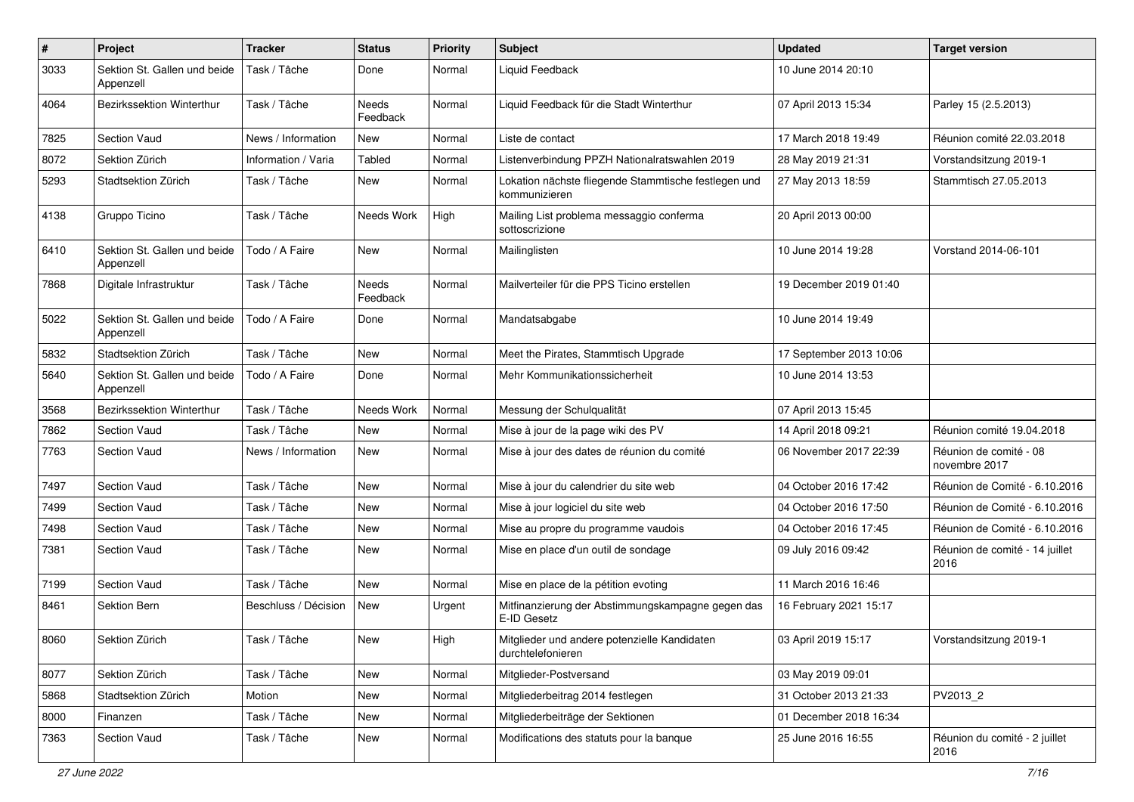| $\sharp$ | Project                                   | <b>Tracker</b>       | <b>Status</b>     | <b>Priority</b> | Subject                                                               | <b>Updated</b>          | <b>Target version</b>                   |
|----------|-------------------------------------------|----------------------|-------------------|-----------------|-----------------------------------------------------------------------|-------------------------|-----------------------------------------|
| 3033     | Sektion St. Gallen und beide<br>Appenzell | Task / Tâche         | Done              | Normal          | Liquid Feedback                                                       | 10 June 2014 20:10      |                                         |
| 4064     | Bezirkssektion Winterthur                 | Task / Tâche         | Needs<br>Feedback | Normal          | Liquid Feedback für die Stadt Winterthur                              | 07 April 2013 15:34     | Parley 15 (2.5.2013)                    |
| 7825     | Section Vaud                              | News / Information   | New               | Normal          | Liste de contact                                                      | 17 March 2018 19:49     | Réunion comité 22.03.2018               |
| 8072     | Sektion Zürich                            | Information / Varia  | Tabled            | Normal          | Listenverbindung PPZH Nationalratswahlen 2019                         | 28 May 2019 21:31       | Vorstandsitzung 2019-1                  |
| 5293     | Stadtsektion Zürich                       | Task / Tâche         | New               | Normal          | Lokation nächste fliegende Stammtische festlegen und<br>kommunizieren | 27 May 2013 18:59       | Stammtisch 27.05.2013                   |
| 4138     | Gruppo Ticino                             | Task / Tâche         | Needs Work        | High            | Mailing List problema messaggio conferma<br>sottoscrizione            | 20 April 2013 00:00     |                                         |
| 6410     | Sektion St. Gallen und beide<br>Appenzell | Todo / A Faire       | <b>New</b>        | Normal          | Mailinglisten                                                         | 10 June 2014 19:28      | Vorstand 2014-06-101                    |
| 7868     | Digitale Infrastruktur                    | Task / Tâche         | Needs<br>Feedback | Normal          | Mailverteiler für die PPS Ticino erstellen                            | 19 December 2019 01:40  |                                         |
| 5022     | Sektion St. Gallen und beide<br>Appenzell | Todo / A Faire       | Done              | Normal          | Mandatsabgabe                                                         | 10 June 2014 19:49      |                                         |
| 5832     | Stadtsektion Zürich                       | Task / Tâche         | New               | Normal          | Meet the Pirates, Stammtisch Upgrade                                  | 17 September 2013 10:06 |                                         |
| 5640     | Sektion St. Gallen und beide<br>Appenzell | Todo / A Faire       | Done              | Normal          | Mehr Kommunikationssicherheit                                         | 10 June 2014 13:53      |                                         |
| 3568     | Bezirkssektion Winterthur                 | Task / Tâche         | Needs Work        | Normal          | Messung der Schulqualität                                             | 07 April 2013 15:45     |                                         |
| 7862     | <b>Section Vaud</b>                       | Task / Tâche         | <b>New</b>        | Normal          | Mise à jour de la page wiki des PV                                    | 14 April 2018 09:21     | Réunion comité 19.04.2018               |
| 7763     | Section Vaud                              | News / Information   | New               | Normal          | Mise à jour des dates de réunion du comité                            | 06 November 2017 22:39  | Réunion de comité - 08<br>novembre 2017 |
| 7497     | Section Vaud                              | Task / Tâche         | <b>New</b>        | Normal          | Mise à jour du calendrier du site web                                 | 04 October 2016 17:42   | Réunion de Comité - 6.10.2016           |
| 7499     | Section Vaud                              | Task / Tâche         | New               | Normal          | Mise à jour logiciel du site web                                      | 04 October 2016 17:50   | Réunion de Comité - 6.10.2016           |
| 7498     | Section Vaud                              | Task / Tâche         | New               | Normal          | Mise au propre du programme vaudois                                   | 04 October 2016 17:45   | Réunion de Comité - 6.10.2016           |
| 7381     | Section Vaud                              | Task / Tâche         | New               | Normal          | Mise en place d'un outil de sondage                                   | 09 July 2016 09:42      | Réunion de comité - 14 juillet<br>2016  |
| 7199     | Section Vaud                              | Task / Tâche         | <b>New</b>        | Normal          | Mise en place de la pétition evoting                                  | 11 March 2016 16:46     |                                         |
| 8461     | Sektion Bern                              | Beschluss / Décision | New               | Urgent          | Mitfinanzierung der Abstimmungskampagne gegen das<br>E-ID Gesetz      | 16 February 2021 15:17  |                                         |
| 8060     | Sektion Zürich                            | Task / Tâche         | New               | High            | Mitglieder und andere potenzielle Kandidaten<br>durchtelefonieren     | 03 April 2019 15:17     | Vorstandsitzung 2019-1                  |
| 8077     | Sektion Zürich                            | Task / Tâche         | New               | Normal          | Mitglieder-Postversand                                                | 03 May 2019 09:01       |                                         |
| 5868     | Stadtsektion Zürich                       | Motion               | New               | Normal          | Mitgliederbeitrag 2014 festlegen                                      | 31 October 2013 21:33   | PV2013_2                                |
| 8000     | Finanzen                                  | Task / Tâche         | New               | Normal          | Mitgliederbeiträge der Sektionen                                      | 01 December 2018 16:34  |                                         |
| 7363     | Section Vaud                              | Task / Tâche         | New               | Normal          | Modifications des statuts pour la banque                              | 25 June 2016 16:55      | Réunion du comité - 2 juillet<br>2016   |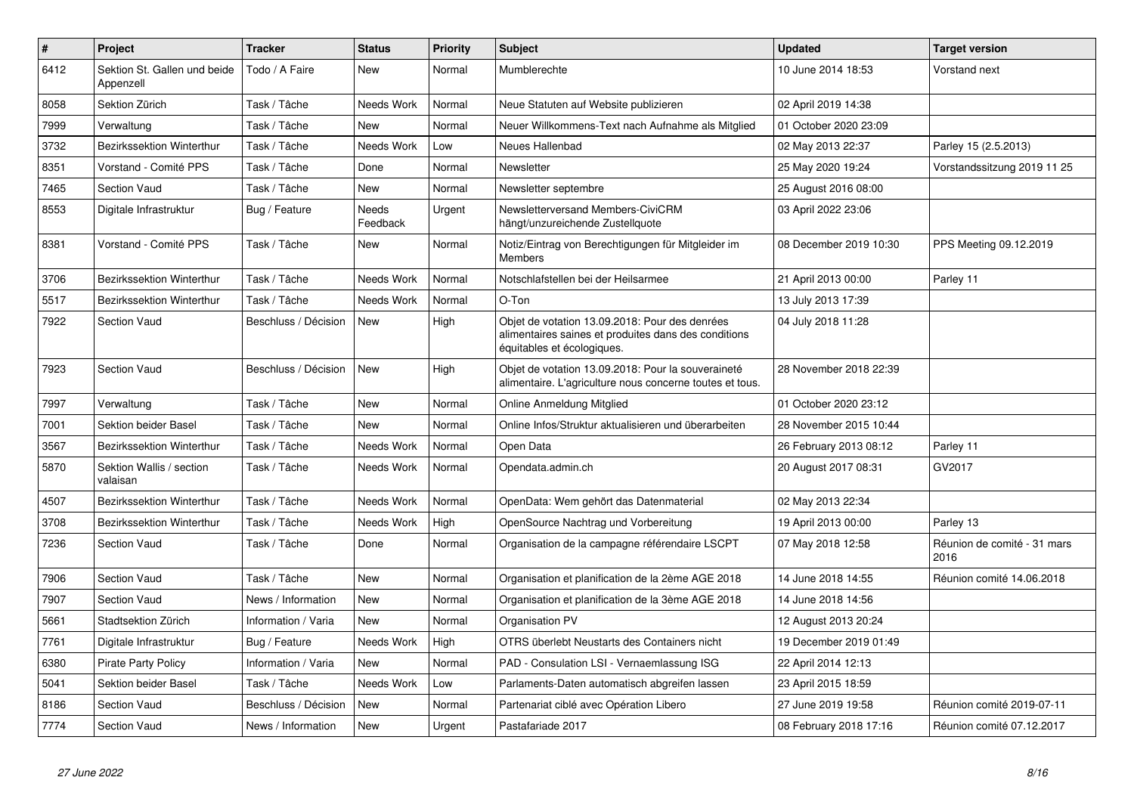| $\pmb{\#}$ | Project                                   | <b>Tracker</b>       | <b>Status</b>     | <b>Priority</b> | <b>Subject</b>                                                                                                                       | <b>Updated</b>         | <b>Target version</b>               |
|------------|-------------------------------------------|----------------------|-------------------|-----------------|--------------------------------------------------------------------------------------------------------------------------------------|------------------------|-------------------------------------|
| 6412       | Sektion St. Gallen und beide<br>Appenzell | Todo / A Faire       | New               | Normal          | Mumblerechte                                                                                                                         | 10 June 2014 18:53     | Vorstand next                       |
| 8058       | Sektion Zürich                            | Task / Tâche         | Needs Work        | Normal          | Neue Statuten auf Website publizieren                                                                                                | 02 April 2019 14:38    |                                     |
| 7999       | Verwaltung                                | Task / Tâche         | <b>New</b>        | Normal          | Neuer Willkommens-Text nach Aufnahme als Mitglied                                                                                    | 01 October 2020 23:09  |                                     |
| 3732       | <b>Bezirkssektion Winterthur</b>          | Task / Tâche         | Needs Work        | Low             | Neues Hallenbad                                                                                                                      | 02 May 2013 22:37      | Parley 15 (2.5.2013)                |
| 8351       | Vorstand - Comité PPS                     | Task / Tâche         | Done              | Normal          | Newsletter                                                                                                                           | 25 May 2020 19:24      | Vorstandssitzung 2019 11 25         |
| 7465       | <b>Section Vaud</b>                       | Task / Tâche         | New               | Normal          | Newsletter septembre                                                                                                                 | 25 August 2016 08:00   |                                     |
| 8553       | Digitale Infrastruktur                    | Bug / Feature        | Needs<br>Feedback | Urgent          | Newsletterversand Members-CiviCRM<br>hängt/unzureichende Zustellquote                                                                | 03 April 2022 23:06    |                                     |
| 8381       | Vorstand - Comité PPS                     | Task / Tâche         | New               | Normal          | Notiz/Eintrag von Berechtigungen für Mitgleider im<br><b>Members</b>                                                                 | 08 December 2019 10:30 | PPS Meeting 09.12.2019              |
| 3706       | Bezirkssektion Winterthur                 | Task / Tâche         | Needs Work        | Normal          | Notschlafstellen bei der Heilsarmee                                                                                                  | 21 April 2013 00:00    | Parley 11                           |
| 5517       | Bezirkssektion Winterthur                 | Task / Tâche         | Needs Work        | Normal          | O-Ton                                                                                                                                | 13 July 2013 17:39     |                                     |
| 7922       | <b>Section Vaud</b>                       | Beschluss / Décision | New               | High            | Objet de votation 13.09.2018: Pour des denrées<br>alimentaires saines et produites dans des conditions<br>équitables et écologiques. | 04 July 2018 11:28     |                                     |
| 7923       | <b>Section Vaud</b>                       | Beschluss / Décision | <b>New</b>        | High            | Objet de votation 13.09.2018: Pour la souveraineté<br>alimentaire. L'agriculture nous concerne toutes et tous.                       | 28 November 2018 22:39 |                                     |
| 7997       | Verwaltung                                | Task / Tâche         | New               | Normal          | Online Anmeldung Mitglied                                                                                                            | 01 October 2020 23:12  |                                     |
| 7001       | Sektion beider Basel                      | Task / Tâche         | <b>New</b>        | Normal          | Online Infos/Struktur aktualisieren und überarbeiten                                                                                 | 28 November 2015 10:44 |                                     |
| 3567       | Bezirkssektion Winterthur                 | Task / Tâche         | Needs Work        | Normal          | Open Data                                                                                                                            | 26 February 2013 08:12 | Parley 11                           |
| 5870       | Sektion Wallis / section<br>valaisan      | Task / Tâche         | Needs Work        | Normal          | Opendata.admin.ch                                                                                                                    | 20 August 2017 08:31   | GV2017                              |
| 4507       | Bezirkssektion Winterthur                 | Task / Tâche         | Needs Work        | Normal          | OpenData: Wem gehört das Datenmaterial                                                                                               | 02 May 2013 22:34      |                                     |
| 3708       | Bezirkssektion Winterthur                 | Task / Tâche         | Needs Work        | High            | OpenSource Nachtrag und Vorbereitung                                                                                                 | 19 April 2013 00:00    | Parley 13                           |
| 7236       | <b>Section Vaud</b>                       | Task / Tâche         | Done              | Normal          | Organisation de la campagne référendaire LSCPT                                                                                       | 07 May 2018 12:58      | Réunion de comité - 31 mars<br>2016 |
| 7906       | Section Vaud                              | Task / Tâche         | New               | Normal          | Organisation et planification de la 2ème AGE 2018                                                                                    | 14 June 2018 14:55     | Réunion comité 14.06.2018           |
| 7907       | Section Vaud                              | News / Information   | New               | Normal          | Organisation et planification de la 3ème AGE 2018                                                                                    | 14 June 2018 14:56     |                                     |
| 5661       | Stadtsektion Zürich                       | Information / Varia  | New               | Normal          | Organisation PV                                                                                                                      | 12 August 2013 20:24   |                                     |
| 7761       | Digitale Infrastruktur                    | Bug / Feature        | Needs Work        | High            | OTRS überlebt Neustarts des Containers nicht                                                                                         | 19 December 2019 01:49 |                                     |
| 6380       | <b>Pirate Party Policy</b>                | Information / Varia  | New               | Normal          | PAD - Consulation LSI - Vernaemlassung ISG                                                                                           | 22 April 2014 12:13    |                                     |
| 5041       | Sektion beider Basel                      | Task / Tâche         | Needs Work        | Low             | Parlaments-Daten automatisch abgreifen lassen                                                                                        | 23 April 2015 18:59    |                                     |
| 8186       | Section Vaud                              | Beschluss / Décision | <b>New</b>        | Normal          | Partenariat ciblé avec Opération Libero                                                                                              | 27 June 2019 19:58     | Réunion comité 2019-07-11           |
| 7774       | <b>Section Vaud</b>                       | News / Information   | New               | Urgent          | Pastafariade 2017                                                                                                                    | 08 February 2018 17:16 | Réunion comité 07.12.2017           |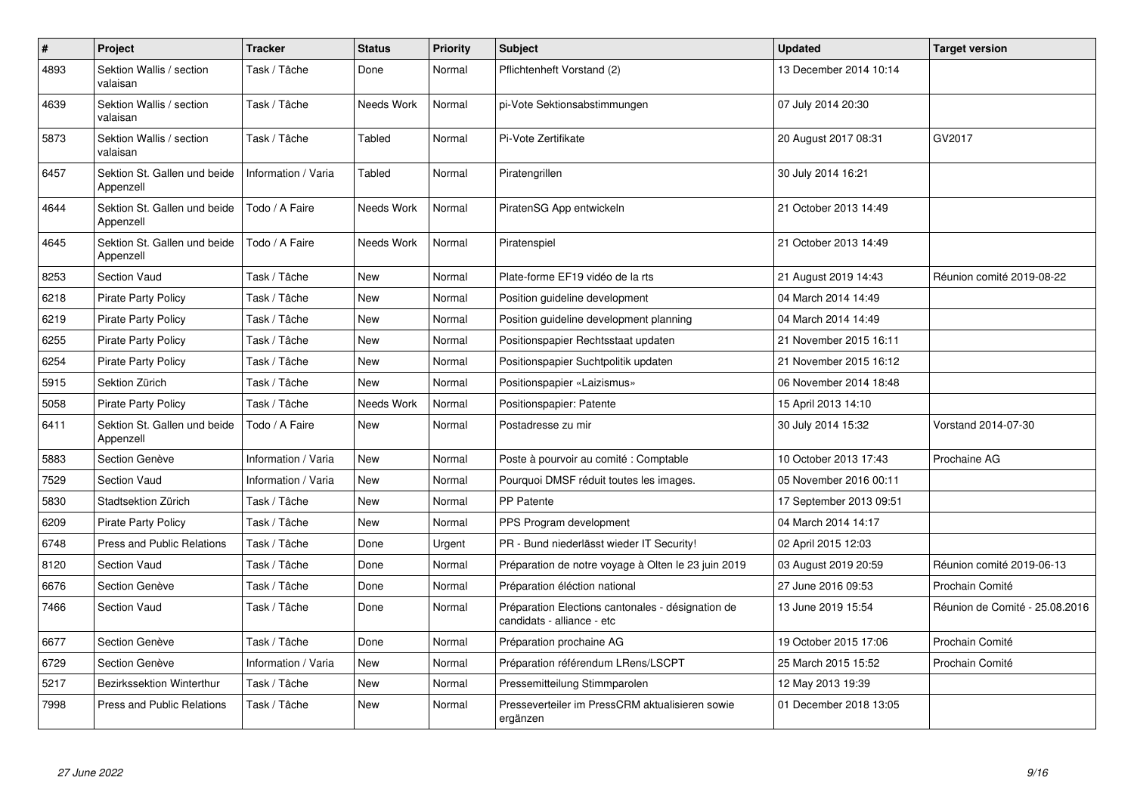| $\pmb{\#}$ | Project                                   | <b>Tracker</b>      | <b>Status</b> | <b>Priority</b> | <b>Subject</b>                                                                  | <b>Updated</b>          | <b>Target version</b>          |
|------------|-------------------------------------------|---------------------|---------------|-----------------|---------------------------------------------------------------------------------|-------------------------|--------------------------------|
| 4893       | Sektion Wallis / section<br>valaisan      | Task / Tâche        | Done          | Normal          | Pflichtenheft Vorstand (2)                                                      | 13 December 2014 10:14  |                                |
| 4639       | Sektion Wallis / section<br>valaisan      | Task / Tâche        | Needs Work    | Normal          | pi-Vote Sektionsabstimmungen                                                    | 07 July 2014 20:30      |                                |
| 5873       | Sektion Wallis / section<br>valaisan      | Task / Tâche        | Tabled        | Normal          | Pi-Vote Zertifikate                                                             | 20 August 2017 08:31    | GV2017                         |
| 6457       | Sektion St. Gallen und beide<br>Appenzell | Information / Varia | Tabled        | Normal          | Piratengrillen                                                                  | 30 July 2014 16:21      |                                |
| 4644       | Sektion St. Gallen und beide<br>Appenzell | Todo / A Faire      | Needs Work    | Normal          | PiratenSG App entwickeln                                                        | 21 October 2013 14:49   |                                |
| 4645       | Sektion St. Gallen und beide<br>Appenzell | Todo / A Faire      | Needs Work    | Normal          | Piratenspiel                                                                    | 21 October 2013 14:49   |                                |
| 8253       | <b>Section Vaud</b>                       | Task / Tâche        | <b>New</b>    | Normal          | Plate-forme EF19 vidéo de la rts                                                | 21 August 2019 14:43    | Réunion comité 2019-08-22      |
| 6218       | <b>Pirate Party Policy</b>                | Task / Tâche        | New           | Normal          | Position guideline development                                                  | 04 March 2014 14:49     |                                |
| 6219       | <b>Pirate Party Policy</b>                | Task / Tâche        | New           | Normal          | Position guideline development planning                                         | 04 March 2014 14:49     |                                |
| 6255       | <b>Pirate Party Policy</b>                | Task / Tâche        | New           | Normal          | Positionspapier Rechtsstaat updaten                                             | 21 November 2015 16:11  |                                |
| 6254       | <b>Pirate Party Policy</b>                | Task / Tâche        | New           | Normal          | Positionspapier Suchtpolitik updaten                                            | 21 November 2015 16:12  |                                |
| 5915       | Sektion Zürich                            | Task / Tâche        | New           | Normal          | Positionspapier «Laizismus»                                                     | 06 November 2014 18:48  |                                |
| 5058       | <b>Pirate Party Policy</b>                | Task / Tâche        | Needs Work    | Normal          | Positionspapier: Patente                                                        | 15 April 2013 14:10     |                                |
| 6411       | Sektion St. Gallen und beide<br>Appenzell | Todo / A Faire      | <b>New</b>    | Normal          | Postadresse zu mir                                                              | 30 July 2014 15:32      | Vorstand 2014-07-30            |
| 5883       | Section Genève                            | Information / Varia | <b>New</b>    | Normal          | Poste à pourvoir au comité : Comptable                                          | 10 October 2013 17:43   | Prochaine AG                   |
| 7529       | <b>Section Vaud</b>                       | Information / Varia | <b>New</b>    | Normal          | Pourquoi DMSF réduit toutes les images.                                         | 05 November 2016 00:11  |                                |
| 5830       | Stadtsektion Zürich                       | Task / Tâche        | <b>New</b>    | Normal          | <b>PP Patente</b>                                                               | 17 September 2013 09:51 |                                |
| 6209       | <b>Pirate Party Policy</b>                | Task / Tâche        | New           | Normal          | PPS Program development                                                         | 04 March 2014 14:17     |                                |
| 6748       | <b>Press and Public Relations</b>         | Task / Tâche        | Done          | Urgent          | PR - Bund niederlässt wieder IT Security!                                       | 02 April 2015 12:03     |                                |
| 8120       | Section Vaud                              | Task / Tâche        | Done          | Normal          | Préparation de notre voyage à Olten le 23 juin 2019                             | 03 August 2019 20:59    | Réunion comité 2019-06-13      |
| 6676       | Section Genève                            | Task / Tâche        | Done          | Normal          | Préparation éléction national                                                   | 27 June 2016 09:53      | Prochain Comité                |
| 7466       | <b>Section Vaud</b>                       | Task / Tâche        | Done          | Normal          | Préparation Elections cantonales - désignation de<br>candidats - alliance - etc | 13 June 2019 15:54      | Réunion de Comité - 25.08.2016 |
| 6677       | Section Genève                            | Task / Tâche        | Done          | Normal          | Préparation prochaine AG                                                        | 19 October 2015 17:06   | Prochain Comité                |
| 6729       | Section Genève                            | Information / Varia | <b>New</b>    | Normal          | Préparation référendum LRens/LSCPT                                              | 25 March 2015 15:52     | Prochain Comité                |
| 5217       | Bezirkssektion Winterthur                 | Task / Tâche        | New           | Normal          | Pressemitteilung Stimmparolen                                                   | 12 May 2013 19:39       |                                |
| 7998       | <b>Press and Public Relations</b>         | Task / Tâche        | New           | Normal          | Presseverteiler im PressCRM aktualisieren sowie<br>ergänzen                     | 01 December 2018 13:05  |                                |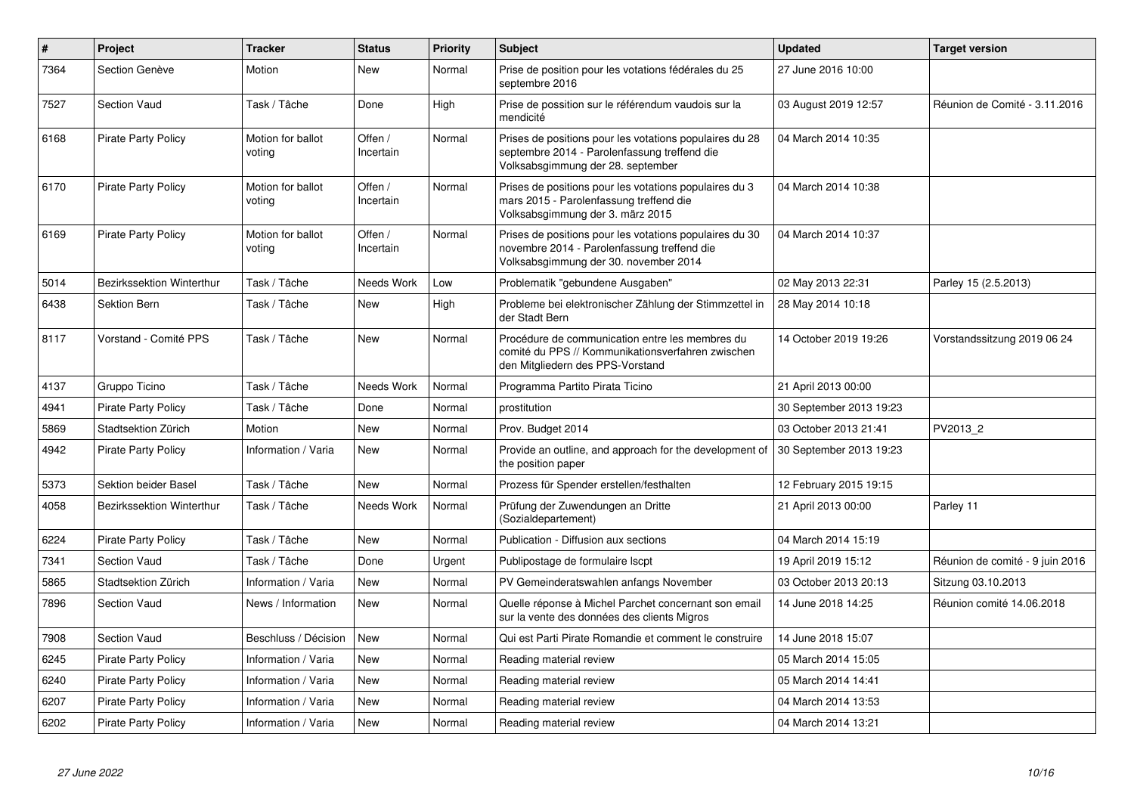| $\#$ | Project                    | <b>Tracker</b>              | <b>Status</b>        | <b>Priority</b> | <b>Subject</b>                                                                                                                                  | <b>Updated</b>          | <b>Target version</b>           |
|------|----------------------------|-----------------------------|----------------------|-----------------|-------------------------------------------------------------------------------------------------------------------------------------------------|-------------------------|---------------------------------|
| 7364 | Section Genève             | Motion                      | New                  | Normal          | Prise de position pour les votations fédérales du 25<br>septembre 2016                                                                          | 27 June 2016 10:00      |                                 |
| 7527 | Section Vaud               | Task / Tâche                | Done                 | High            | Prise de possition sur le référendum vaudois sur la<br>mendicité                                                                                | 03 August 2019 12:57    | Réunion de Comité - 3.11.2016   |
| 6168 | <b>Pirate Party Policy</b> | Motion for ballot<br>voting | Offen /<br>Incertain | Normal          | Prises de positions pour les votations populaires du 28<br>septembre 2014 - Parolenfassung treffend die<br>Volksabsgimmung der 28. september    | 04 March 2014 10:35     |                                 |
| 6170 | <b>Pirate Party Policy</b> | Motion for ballot<br>voting | Offen /<br>Incertain | Normal          | Prises de positions pour les votations populaires du 3<br>mars 2015 - Parolenfassung treffend die<br>Volksabsgimmung der 3. märz 2015           | 04 March 2014 10:38     |                                 |
| 6169 | <b>Pirate Party Policy</b> | Motion for ballot<br>voting | Offen /<br>Incertain | Normal          | Prises de positions pour les votations populaires du 30<br>novembre 2014 - Parolenfassung treffend die<br>Volksabsgimmung der 30. november 2014 | 04 March 2014 10:37     |                                 |
| 5014 | Bezirkssektion Winterthur  | Task / Tâche                | Needs Work           | Low             | Problematik "gebundene Ausgaben"                                                                                                                | 02 May 2013 22:31       | Parley 15 (2.5.2013)            |
| 6438 | Sektion Bern               | Task / Tâche                | <b>New</b>           | High            | Probleme bei elektronischer Zählung der Stimmzettel in<br>der Stadt Bern                                                                        | 28 May 2014 10:18       |                                 |
| 8117 | Vorstand - Comité PPS      | Task / Tâche                | <b>New</b>           | Normal          | Procédure de communication entre les membres du<br>comité du PPS // Kommunikationsverfahren zwischen<br>den Mitgliedern des PPS-Vorstand        | 14 October 2019 19:26   | Vorstandssitzung 2019 06 24     |
| 4137 | Gruppo Ticino              | Task / Tâche                | Needs Work           | Normal          | Programma Partito Pirata Ticino                                                                                                                 | 21 April 2013 00:00     |                                 |
| 4941 | <b>Pirate Party Policy</b> | Task / Tâche                | Done                 | Normal          | prostitution                                                                                                                                    | 30 September 2013 19:23 |                                 |
| 5869 | Stadtsektion Zürich        | Motion                      | <b>New</b>           | Normal          | Prov. Budget 2014                                                                                                                               | 03 October 2013 21:41   | PV2013 2                        |
| 4942 | <b>Pirate Party Policy</b> | Information / Varia         | New                  | Normal          | Provide an outline, and approach for the development of<br>the position paper                                                                   | 30 September 2013 19:23 |                                 |
| 5373 | Sektion beider Basel       | Task / Tâche                | <b>New</b>           | Normal          | Prozess für Spender erstellen/festhalten                                                                                                        | 12 February 2015 19:15  |                                 |
| 4058 | Bezirkssektion Winterthur  | Task / Tâche                | Needs Work           | Normal          | Prüfung der Zuwendungen an Dritte<br>(Sozialdepartement)                                                                                        | 21 April 2013 00:00     | Parley 11                       |
| 6224 | <b>Pirate Party Policy</b> | Task / Tâche                | New                  | Normal          | Publication - Diffusion aux sections                                                                                                            | 04 March 2014 15:19     |                                 |
| 7341 | <b>Section Vaud</b>        | Task / Tâche                | Done                 | Urgent          | Publipostage de formulaire Iscpt                                                                                                                | 19 April 2019 15:12     | Réunion de comité - 9 juin 2016 |
| 5865 | Stadtsektion Zürich        | Information / Varia         | <b>New</b>           | Normal          | PV Gemeinderatswahlen anfangs November                                                                                                          | 03 October 2013 20:13   | Sitzung 03.10.2013              |
| 7896 | <b>Section Vaud</b>        | News / Information          | New                  | Normal          | Quelle réponse à Michel Parchet concernant son email<br>sur la vente des données des clients Migros                                             | 14 June 2018 14:25      | Réunion comité 14.06.2018       |
| 7908 | Section Vaud               | Beschluss / Décision        | <b>New</b>           | Normal          | Qui est Parti Pirate Romandie et comment le construire                                                                                          | 14 June 2018 15:07      |                                 |
| 6245 | <b>Pirate Party Policy</b> | Information / Varia         | <b>New</b>           | Normal          | Reading material review                                                                                                                         | 05 March 2014 15:05     |                                 |
| 6240 | <b>Pirate Party Policy</b> | Information / Varia         | <b>New</b>           | Normal          | Reading material review                                                                                                                         | 05 March 2014 14:41     |                                 |
| 6207 | <b>Pirate Party Policy</b> | Information / Varia         | <b>New</b>           | Normal          | Reading material review                                                                                                                         | 04 March 2014 13:53     |                                 |
| 6202 | <b>Pirate Party Policy</b> | Information / Varia         | <b>New</b>           | Normal          | Reading material review                                                                                                                         | 04 March 2014 13:21     |                                 |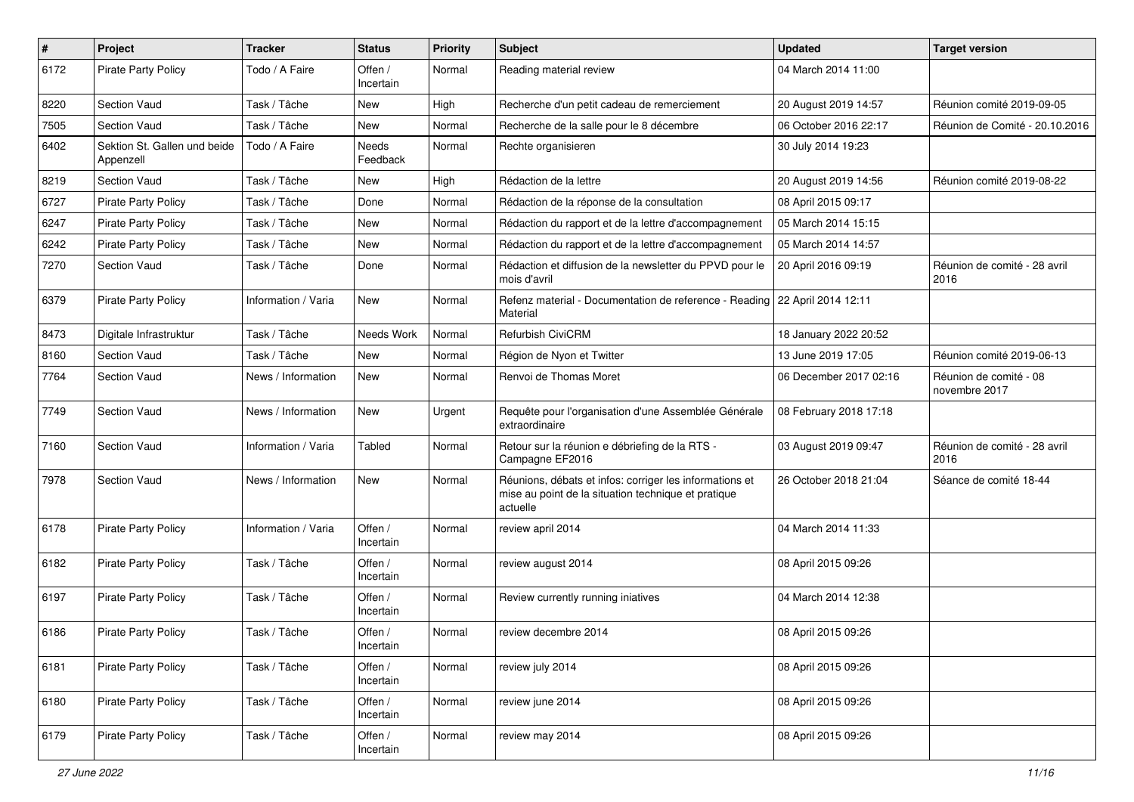| $\pmb{\#}$ | Project                                   | <b>Tracker</b>      | <b>Status</b>            | <b>Priority</b> | <b>Subject</b>                                                                                                             | <b>Updated</b>         | <b>Target version</b>                   |
|------------|-------------------------------------------|---------------------|--------------------------|-----------------|----------------------------------------------------------------------------------------------------------------------------|------------------------|-----------------------------------------|
| 6172       | Pirate Party Policy                       | Todo / A Faire      | Offen /<br>Incertain     | Normal          | Reading material review                                                                                                    | 04 March 2014 11:00    |                                         |
| 8220       | <b>Section Vaud</b>                       | Task / Tâche        | New                      | High            | Recherche d'un petit cadeau de remerciement                                                                                | 20 August 2019 14:57   | Réunion comité 2019-09-05               |
| 7505       | <b>Section Vaud</b>                       | Task / Tâche        | New                      | Normal          | Recherche de la salle pour le 8 décembre                                                                                   | 06 October 2016 22:17  | Réunion de Comité - 20.10.2016          |
| 6402       | Sektion St. Gallen und beide<br>Appenzell | Todo / A Faire      | <b>Needs</b><br>Feedback | Normal          | Rechte organisieren                                                                                                        | 30 July 2014 19:23     |                                         |
| 8219       | Section Vaud                              | Task / Tâche        | New                      | High            | Rédaction de la lettre                                                                                                     | 20 August 2019 14:56   | Réunion comité 2019-08-22               |
| 6727       | <b>Pirate Party Policy</b>                | Task / Tâche        | Done                     | Normal          | Rédaction de la réponse de la consultation                                                                                 | 08 April 2015 09:17    |                                         |
| 6247       | <b>Pirate Party Policy</b>                | Task / Tâche        | New                      | Normal          | Rédaction du rapport et de la lettre d'accompagnement                                                                      | 05 March 2014 15:15    |                                         |
| 6242       | <b>Pirate Party Policy</b>                | Task / Tâche        | <b>New</b>               | Normal          | Rédaction du rapport et de la lettre d'accompagnement                                                                      | 05 March 2014 14:57    |                                         |
| 7270       | <b>Section Vaud</b>                       | Task / Tâche        | Done                     | Normal          | Rédaction et diffusion de la newsletter du PPVD pour le<br>mois d'avril                                                    | 20 April 2016 09:19    | Réunion de comité - 28 avril<br>2016    |
| 6379       | <b>Pirate Party Policy</b>                | Information / Varia | New                      | Normal          | Refenz material - Documentation de reference - Reading   22 April 2014 12:11<br>Material                                   |                        |                                         |
| 8473       | Digitale Infrastruktur                    | Task / Tâche        | Needs Work               | Normal          | Refurbish CiviCRM                                                                                                          | 18 January 2022 20:52  |                                         |
| 8160       | <b>Section Vaud</b>                       | Task / Tâche        | New                      | Normal          | Région de Nyon et Twitter                                                                                                  | 13 June 2019 17:05     | Réunion comité 2019-06-13               |
| 7764       | <b>Section Vaud</b>                       | News / Information  | New                      | Normal          | Renvoi de Thomas Moret                                                                                                     | 06 December 2017 02:16 | Réunion de comité - 08<br>novembre 2017 |
| 7749       | <b>Section Vaud</b>                       | News / Information  | New                      | Urgent          | Requête pour l'organisation d'une Assemblée Générale<br>extraordinaire                                                     | 08 February 2018 17:18 |                                         |
| 7160       | <b>Section Vaud</b>                       | Information / Varia | Tabled                   | Normal          | Retour sur la réunion e débriefing de la RTS -<br>Campagne EF2016                                                          | 03 August 2019 09:47   | Réunion de comité - 28 avril<br>2016    |
| 7978       | <b>Section Vaud</b>                       | News / Information  | New                      | Normal          | Réunions, débats et infos: corriger les informations et<br>mise au point de la situation technique et pratique<br>actuelle | 26 October 2018 21:04  | Séance de comité 18-44                  |
| 6178       | <b>Pirate Party Policy</b>                | Information / Varia | Offen /<br>Incertain     | Normal          | review april 2014                                                                                                          | 04 March 2014 11:33    |                                         |
| 6182       | <b>Pirate Party Policy</b>                | Task / Tâche        | Offen /<br>Incertain     | Normal          | review august 2014                                                                                                         | 08 April 2015 09:26    |                                         |
| 6197       | Pirate Party Policy                       | Task / Tâche        | Offen /<br>Incertain     | Normal          | Review currently running iniatives                                                                                         | 04 March 2014 12:38    |                                         |
| 6186       | Pirate Party Policy                       | Task / Tâche        | Offen /<br>Incertain     | Normal          | review decembre 2014                                                                                                       | 08 April 2015 09:26    |                                         |
| 6181       | Pirate Party Policy                       | Task / Tâche        | Offen /<br>Incertain     | Normal          | review july 2014                                                                                                           | 08 April 2015 09:26    |                                         |
| 6180       | <b>Pirate Party Policy</b>                | Task / Tâche        | Offen /<br>Incertain     | Normal          | review june 2014                                                                                                           | 08 April 2015 09:26    |                                         |
| 6179       | <b>Pirate Party Policy</b>                | Task / Tâche        | Offen /<br>Incertain     | Normal          | review may 2014                                                                                                            | 08 April 2015 09:26    |                                         |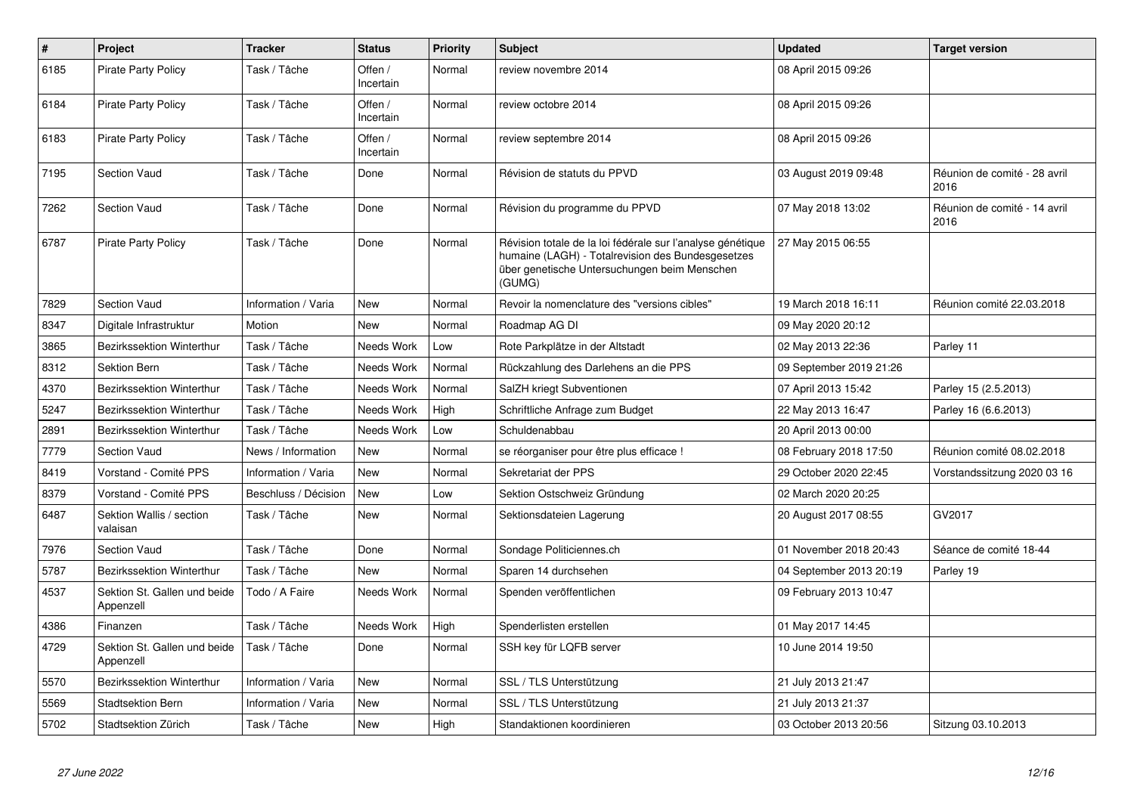| $\#$ | Project                                   | <b>Tracker</b>       | <b>Status</b>        | <b>Priority</b> | <b>Subject</b>                                                                                                                                                            | <b>Updated</b>          | <b>Target version</b>                |
|------|-------------------------------------------|----------------------|----------------------|-----------------|---------------------------------------------------------------------------------------------------------------------------------------------------------------------------|-------------------------|--------------------------------------|
| 6185 | <b>Pirate Party Policy</b>                | Task / Tâche         | Offen /<br>Incertain | Normal          | review novembre 2014                                                                                                                                                      | 08 April 2015 09:26     |                                      |
| 6184 | <b>Pirate Party Policy</b>                | Task / Tâche         | Offen /<br>Incertain | Normal          | review octobre 2014                                                                                                                                                       | 08 April 2015 09:26     |                                      |
| 6183 | Pirate Party Policy                       | Task / Tâche         | Offen /<br>Incertain | Normal          | review septembre 2014                                                                                                                                                     | 08 April 2015 09:26     |                                      |
| 7195 | <b>Section Vaud</b>                       | Task / Tâche         | Done                 | Normal          | Révision de statuts du PPVD                                                                                                                                               | 03 August 2019 09:48    | Réunion de comité - 28 avril<br>2016 |
| 7262 | <b>Section Vaud</b>                       | Task / Tâche         | Done                 | Normal          | Révision du programme du PPVD                                                                                                                                             | 07 May 2018 13:02       | Réunion de comité - 14 avril<br>2016 |
| 6787 | <b>Pirate Party Policy</b>                | Task / Tâche         | Done                 | Normal          | Révision totale de la loi fédérale sur l'analyse génétique<br>humaine (LAGH) - Totalrevision des Bundesgesetzes<br>über genetische Untersuchungen beim Menschen<br>(GUMG) | 27 May 2015 06:55       |                                      |
| 7829 | <b>Section Vaud</b>                       | Information / Varia  | <b>New</b>           | Normal          | Revoir la nomenclature des "versions cibles"                                                                                                                              | 19 March 2018 16:11     | Réunion comité 22.03.2018            |
| 8347 | Digitale Infrastruktur                    | Motion               | <b>New</b>           | Normal          | Roadmap AG DI                                                                                                                                                             | 09 May 2020 20:12       |                                      |
| 3865 | <b>Bezirkssektion Winterthur</b>          | Task / Tâche         | Needs Work           | Low             | Rote Parkplätze in der Altstadt                                                                                                                                           | 02 May 2013 22:36       | Parley 11                            |
| 8312 | Sektion Bern                              | Task / Tâche         | Needs Work           | Normal          | Rückzahlung des Darlehens an die PPS                                                                                                                                      | 09 September 2019 21:26 |                                      |
| 4370 | <b>Bezirkssektion Winterthur</b>          | Task / Tâche         | Needs Work           | Normal          | SalZH kriegt Subventionen                                                                                                                                                 | 07 April 2013 15:42     | Parley 15 (2.5.2013)                 |
| 5247 | <b>Bezirkssektion Winterthur</b>          | Task / Tâche         | Needs Work           | High            | Schriftliche Anfrage zum Budget                                                                                                                                           | 22 May 2013 16:47       | Parley 16 (6.6.2013)                 |
| 2891 | Bezirkssektion Winterthur                 | Task / Tâche         | Needs Work           | Low             | Schuldenabbau                                                                                                                                                             | 20 April 2013 00:00     |                                      |
| 7779 | <b>Section Vaud</b>                       | News / Information   | <b>New</b>           | Normal          | se réorganiser pour être plus efficace !                                                                                                                                  | 08 February 2018 17:50  | Réunion comité 08.02.2018            |
| 8419 | Vorstand - Comité PPS                     | Information / Varia  | New                  | Normal          | Sekretariat der PPS                                                                                                                                                       | 29 October 2020 22:45   | Vorstandssitzung 2020 03 16          |
| 8379 | Vorstand - Comité PPS                     | Beschluss / Décision | New                  | Low             | Sektion Ostschweiz Gründung                                                                                                                                               | 02 March 2020 20:25     |                                      |
| 6487 | Sektion Wallis / section<br>valaisan      | Task / Tâche         | New                  | Normal          | Sektionsdateien Lagerung                                                                                                                                                  | 20 August 2017 08:55    | GV2017                               |
| 7976 | <b>Section Vaud</b>                       | Task / Tâche         | Done                 | Normal          | Sondage Politiciennes.ch                                                                                                                                                  | 01 November 2018 20:43  | Séance de comité 18-44               |
| 5787 | Bezirkssektion Winterthur                 | Task / Tâche         | New                  | Normal          | Sparen 14 durchsehen                                                                                                                                                      | 04 September 2013 20:19 | Parley 19                            |
| 4537 | Sektion St. Gallen und beide<br>Appenzell | Todo / A Faire       | <b>Needs Work</b>    | Normal          | Spenden veröffentlichen                                                                                                                                                   | 09 February 2013 10:47  |                                      |
| 4386 | Finanzen                                  | Task / Tâche         | Needs Work           | High            | Spenderlisten erstellen                                                                                                                                                   | 01 May 2017 14:45       |                                      |
| 4729 | Sektion St. Gallen und beide<br>Appenzell | Task / Tâche         | Done                 | Normal          | SSH key für LQFB server                                                                                                                                                   | 10 June 2014 19:50      |                                      |
| 5570 | Bezirkssektion Winterthur                 | Information / Varia  | New                  | Normal          | SSL / TLS Unterstützung                                                                                                                                                   | 21 July 2013 21:47      |                                      |
| 5569 | <b>Stadtsektion Bern</b>                  | Information / Varia  | New                  | Normal          | SSL / TLS Unterstützung                                                                                                                                                   | 21 July 2013 21:37      |                                      |
| 5702 | Stadtsektion Zürich                       | Task / Tâche         | <b>New</b>           | High            | Standaktionen koordinieren                                                                                                                                                | 03 October 2013 20:56   | Sitzung 03.10.2013                   |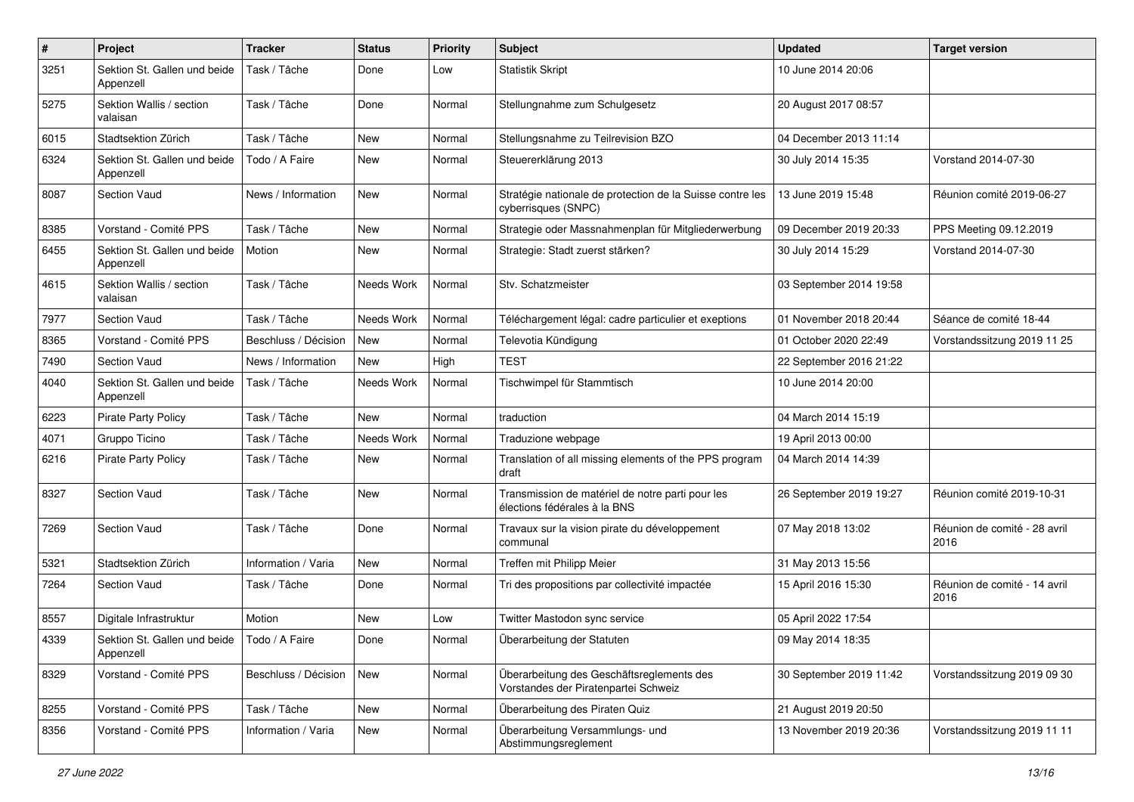| $\pmb{\#}$ | Project                                                    | <b>Tracker</b>       | <b>Status</b> | <b>Priority</b> | Subject                                                                           | <b>Updated</b>          | <b>Target version</b>                |
|------------|------------------------------------------------------------|----------------------|---------------|-----------------|-----------------------------------------------------------------------------------|-------------------------|--------------------------------------|
| 3251       | Sektion St. Gallen und beide<br>Appenzell                  | Task / Tâche         | Done          | Low             | <b>Statistik Skript</b>                                                           | 10 June 2014 20:06      |                                      |
| 5275       | Sektion Wallis / section<br>valaisan                       | Task / Tâche         | Done          | Normal          | Stellungnahme zum Schulgesetz                                                     | 20 August 2017 08:57    |                                      |
| 6015       | Stadtsektion Zürich                                        | Task / Tâche         | New           | Normal          | Stellungsnahme zu Teilrevision BZO                                                | 04 December 2013 11:14  |                                      |
| 6324       | Sektion St. Gallen und beide<br>Appenzell                  | Todo / A Faire       | New           | Normal          | Steuererklärung 2013                                                              | 30 July 2014 15:35      | Vorstand 2014-07-30                  |
| 8087       | <b>Section Vaud</b>                                        | News / Information   | New           | Normal          | Stratégie nationale de protection de la Suisse contre les<br>cyberrisques (SNPC)  | 13 June 2019 15:48      | Réunion comité 2019-06-27            |
| 8385       | Vorstand - Comité PPS                                      | Task / Tâche         | <b>New</b>    | Normal          | Strategie oder Massnahmenplan für Mitgliederwerbung                               | 09 December 2019 20:33  | PPS Meeting 09.12.2019               |
| 6455       | Sektion St. Gallen und beide<br>Appenzell                  | Motion               | New           | Normal          | Strategie: Stadt zuerst stärken?                                                  | 30 July 2014 15:29      | Vorstand 2014-07-30                  |
| 4615       | Sektion Wallis / section<br>valaisan                       | Task / Tâche         | Needs Work    | Normal          | Stv. Schatzmeister                                                                | 03 September 2014 19:58 |                                      |
| 7977       | <b>Section Vaud</b>                                        | Task / Tâche         | Needs Work    | Normal          | Téléchargement légal: cadre particulier et exeptions                              | 01 November 2018 20:44  | Séance de comité 18-44               |
| 8365       | Vorstand - Comité PPS                                      | Beschluss / Décision | New           | Normal          | Televotia Kündigung                                                               | 01 October 2020 22:49   | Vorstandssitzung 2019 11 25          |
| 7490       | <b>Section Vaud</b>                                        | News / Information   | New           | High            | TEST                                                                              | 22 September 2016 21:22 |                                      |
| 4040       | Sektion St. Gallen und beide<br>Appenzell                  | Task / Tâche         | Needs Work    | Normal          | Tischwimpel für Stammtisch                                                        | 10 June 2014 20:00      |                                      |
| 6223       | <b>Pirate Party Policy</b>                                 | Task / Tâche         | New           | Normal          | traduction                                                                        | 04 March 2014 15:19     |                                      |
| 4071       | Gruppo Ticino                                              | Task / Tâche         | Needs Work    | Normal          | Traduzione webpage                                                                | 19 April 2013 00:00     |                                      |
| 6216       | <b>Pirate Party Policy</b>                                 | Task / Tâche         | New           | Normal          | Translation of all missing elements of the PPS program<br>draft                   | 04 March 2014 14:39     |                                      |
| 8327       | <b>Section Vaud</b>                                        | Task / Tâche         | New           | Normal          | Transmission de matériel de notre parti pour les<br>élections fédérales à la BNS  | 26 September 2019 19:27 | Réunion comité 2019-10-31            |
| 7269       | <b>Section Vaud</b>                                        | Task / Tâche         | Done          | Normal          | Travaux sur la vision pirate du développement<br>communal                         | 07 May 2018 13:02       | Réunion de comité - 28 avril<br>2016 |
| 5321       | Stadtsektion Zürich                                        | Information / Varia  | <b>New</b>    | Normal          | Treffen mit Philipp Meier                                                         | 31 May 2013 15:56       |                                      |
| 7264       | <b>Section Vaud</b>                                        | Task / Tâche         | Done          | Normal          | Tri des propositions par collectivité impactée                                    | 15 April 2016 15:30     | Réunion de comité - 14 avril<br>2016 |
| 8557       | Digitale Infrastruktur                                     | Motion               | New           | Low             | Twitter Mastodon sync service                                                     | 05 April 2022 17:54     |                                      |
| 4339       | Sektion St. Gallen und beide   Todo / A Faire<br>Appenzell |                      | Done          | Normal          | Überarbeitung der Statuten                                                        | 09 May 2014 18:35       |                                      |
| 8329       | Vorstand - Comité PPS                                      | Beschluss / Décision | New           | Normal          | Überarbeitung des Geschäftsreglements des<br>Vorstandes der Piratenpartei Schweiz | 30 September 2019 11:42 | Vorstandssitzung 2019 09 30          |
| 8255       | Vorstand - Comité PPS                                      | Task / Tâche         | New           | Normal          | Überarbeitung des Piraten Quiz                                                    | 21 August 2019 20:50    |                                      |
| 8356       | Vorstand - Comité PPS                                      | Information / Varia  | New           | Normal          | Überarbeitung Versammlungs- und<br>Abstimmungsreglement                           | 13 November 2019 20:36  | Vorstandssitzung 2019 11 11          |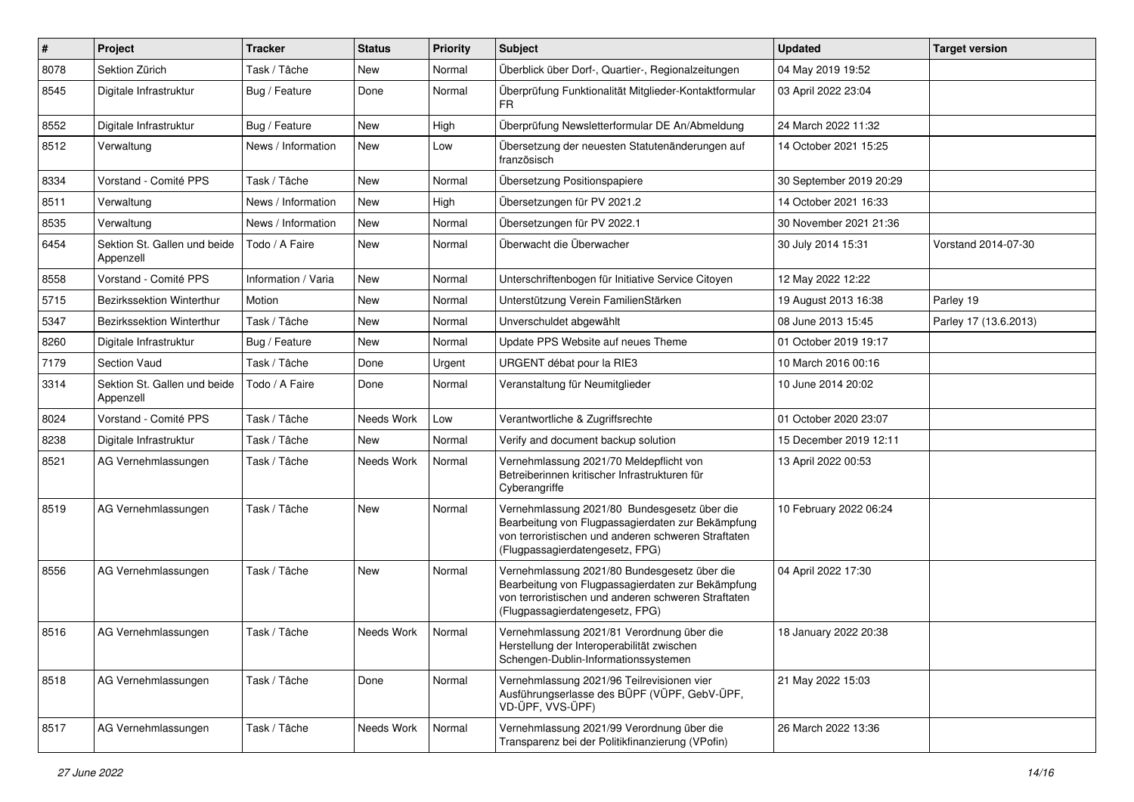| $\sharp$ | Project                                   | <b>Tracker</b>      | <b>Status</b> | <b>Priority</b> | <b>Subject</b>                                                                                                                                                                              | <b>Updated</b>          | <b>Target version</b> |
|----------|-------------------------------------------|---------------------|---------------|-----------------|---------------------------------------------------------------------------------------------------------------------------------------------------------------------------------------------|-------------------------|-----------------------|
| 8078     | Sektion Zürich                            | Task / Tâche        | New           | Normal          | Überblick über Dorf-, Quartier-, Regionalzeitungen                                                                                                                                          | 04 May 2019 19:52       |                       |
| 8545     | Digitale Infrastruktur                    | Bug / Feature       | Done          | Normal          | Überprüfung Funktionalität Mitglieder-Kontaktformular<br>FR.                                                                                                                                | 03 April 2022 23:04     |                       |
| 8552     | Digitale Infrastruktur                    | Bug / Feature       | <b>New</b>    | High            | Überprüfung Newsletterformular DE An/Abmeldung                                                                                                                                              | 24 March 2022 11:32     |                       |
| 8512     | Verwaltung                                | News / Information  | <b>New</b>    | Low             | Übersetzung der neuesten Statutenänderungen auf<br>französisch                                                                                                                              | 14 October 2021 15:25   |                       |
| 8334     | Vorstand - Comité PPS                     | Task / Tâche        | <b>New</b>    | Normal          | Übersetzung Positionspapiere                                                                                                                                                                | 30 September 2019 20:29 |                       |
| 8511     | Verwaltung                                | News / Information  | New           | High            | Übersetzungen für PV 2021.2                                                                                                                                                                 | 14 October 2021 16:33   |                       |
| 8535     | Verwaltung                                | News / Information  | <b>New</b>    | Normal          | Übersetzungen für PV 2022.1                                                                                                                                                                 | 30 November 2021 21:36  |                       |
| 6454     | Sektion St. Gallen und beide<br>Appenzell | Todo / A Faire      | New           | Normal          | Überwacht die Überwacher                                                                                                                                                                    | 30 July 2014 15:31      | Vorstand 2014-07-30   |
| 8558     | Vorstand - Comité PPS                     | Information / Varia | <b>New</b>    | Normal          | Unterschriftenbogen für Initiative Service Citoyen                                                                                                                                          | 12 May 2022 12:22       |                       |
| 5715     | Bezirkssektion Winterthur                 | Motion              | <b>New</b>    | Normal          | Unterstützung Verein FamilienStärken                                                                                                                                                        | 19 August 2013 16:38    | Parley 19             |
| 5347     | Bezirkssektion Winterthur                 | Task / Tâche        | New           | Normal          | Unverschuldet abgewählt                                                                                                                                                                     | 08 June 2013 15:45      | Parley 17 (13.6.2013) |
| 8260     | Digitale Infrastruktur                    | Bug / Feature       | New           | Normal          | Update PPS Website auf neues Theme                                                                                                                                                          | 01 October 2019 19:17   |                       |
| 7179     | Section Vaud                              | Task / Tâche        | Done          | Urgent          | URGENT débat pour la RIE3                                                                                                                                                                   | 10 March 2016 00:16     |                       |
| 3314     | Sektion St. Gallen und beide<br>Appenzell | Todo / A Faire      | Done          | Normal          | Veranstaltung für Neumitglieder                                                                                                                                                             | 10 June 2014 20:02      |                       |
| 8024     | Vorstand - Comité PPS                     | Task / Tâche        | Needs Work    | Low             | Verantwortliche & Zugriffsrechte                                                                                                                                                            | 01 October 2020 23:07   |                       |
| 8238     | Digitale Infrastruktur                    | Task / Tâche        | New           | Normal          | Verify and document backup solution                                                                                                                                                         | 15 December 2019 12:11  |                       |
| 8521     | AG Vernehmlassungen                       | Task / Tâche        | Needs Work    | Normal          | Vernehmlassung 2021/70 Meldepflicht von<br>Betreiberinnen kritischer Infrastrukturen für<br>Cyberangriffe                                                                                   | 13 April 2022 00:53     |                       |
| 8519     | AG Vernehmlassungen                       | Task / Tâche        | <b>New</b>    | Normal          | Vernehmlassung 2021/80 Bundesgesetz über die<br>Bearbeitung von Flugpassagierdaten zur Bekämpfung<br>von terroristischen und anderen schweren Straftaten<br>(Flugpassagierdatengesetz, FPG) | 10 February 2022 06:24  |                       |
| 8556     | AG Vernehmlassungen                       | Task / Tâche        | New           | Normal          | Vernehmlassung 2021/80 Bundesgesetz über die<br>Bearbeitung von Flugpassagierdaten zur Bekämpfung<br>von terroristischen und anderen schweren Straftaten<br>(Flugpassagierdatengesetz, FPG) | 04 April 2022 17:30     |                       |
| 8516     | AG Vernehmlassungen                       | Task / Tâche        | Needs Work    | Normal          | Vernehmlassung 2021/81 Verordnung über die<br>Herstellung der Interoperabilität zwischen<br>Schengen-Dublin-Informationssystemen                                                            | 18 January 2022 20:38   |                       |
| 8518     | AG Vernehmlassungen                       | Task / Tâche        | Done          | Normal          | Vernehmlassung 2021/96 Teilrevisionen vier<br>Ausführungserlasse des BÜPF (VÜPF, GebV-ÜPF,<br>VD-ÜPF, VVS-ÜPF)                                                                              | 21 May 2022 15:03       |                       |
| 8517     | AG Vernehmlassungen                       | Task / Tâche        | Needs Work    | Normal          | Vernehmlassung 2021/99 Verordnung über die<br>Transparenz bei der Politikfinanzierung (VPofin)                                                                                              | 26 March 2022 13:36     |                       |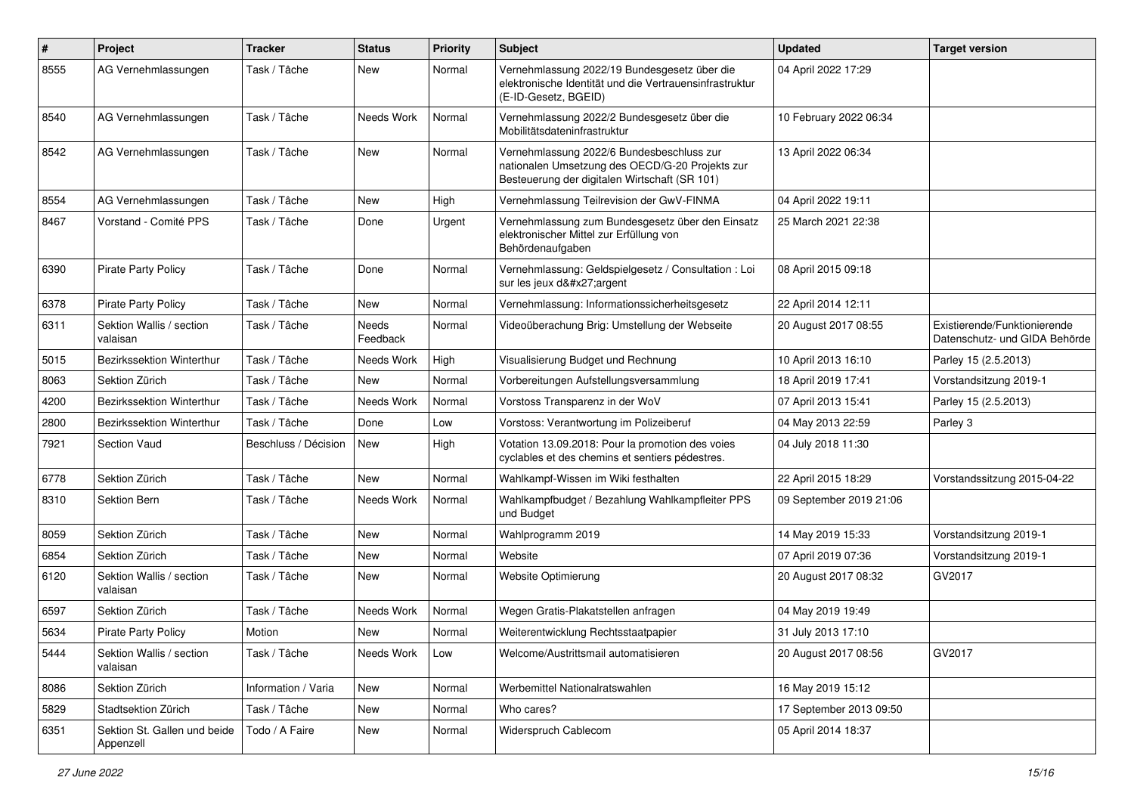| $\pmb{\#}$ | Project                                   | <b>Tracker</b>       | <b>Status</b>     | <b>Priority</b> | <b>Subject</b>                                                                                                                                | <b>Updated</b>          | <b>Target version</b>                                         |
|------------|-------------------------------------------|----------------------|-------------------|-----------------|-----------------------------------------------------------------------------------------------------------------------------------------------|-------------------------|---------------------------------------------------------------|
| 8555       | AG Vernehmlassungen                       | Task / Tâche         | New               | Normal          | Vernehmlassung 2022/19 Bundesgesetz über die<br>elektronische Identität und die Vertrauensinfrastruktur<br>(E-ID-Gesetz, BGEID)               | 04 April 2022 17:29     |                                                               |
| 8540       | AG Vernehmlassungen                       | Task / Tâche         | Needs Work        | Normal          | Vernehmlassung 2022/2 Bundesgesetz über die<br>Mobilitätsdateninfrastruktur                                                                   | 10 February 2022 06:34  |                                                               |
| 8542       | AG Vernehmlassungen                       | Task / Tâche         | <b>New</b>        | Normal          | Vernehmlassung 2022/6 Bundesbeschluss zur<br>nationalen Umsetzung des OECD/G-20 Projekts zur<br>Besteuerung der digitalen Wirtschaft (SR 101) | 13 April 2022 06:34     |                                                               |
| 8554       | AG Vernehmlassungen                       | Task / Tâche         | New               | High            | Vernehmlassung Teilrevision der GwV-FINMA                                                                                                     | 04 April 2022 19:11     |                                                               |
| 8467       | Vorstand - Comité PPS                     | Task / Tâche         | Done              | Urgent          | Vernehmlassung zum Bundesgesetz über den Einsatz<br>elektronischer Mittel zur Erfüllung von<br>Behördenaufgaben                               | 25 March 2021 22:38     |                                                               |
| 6390       | <b>Pirate Party Policy</b>                | Task / Tâche         | Done              | Normal          | Vernehmlassung: Geldspielgesetz / Consultation : Loi<br>sur les jeux d'argent                                                                 | 08 April 2015 09:18     |                                                               |
| 6378       | <b>Pirate Party Policy</b>                | Task / Tâche         | New               | Normal          | Vernehmlassung: Informationssicherheitsgesetz                                                                                                 | 22 April 2014 12:11     |                                                               |
| 6311       | Sektion Wallis / section<br>valaisan      | Task / Tâche         | Needs<br>Feedback | Normal          | Videoüberachung Brig: Umstellung der Webseite                                                                                                 | 20 August 2017 08:55    | Existierende/Funktionierende<br>Datenschutz- und GIDA Behörde |
| 5015       | <b>Bezirkssektion Winterthur</b>          | Task / Tâche         | Needs Work        | High            | Visualisierung Budget und Rechnung                                                                                                            | 10 April 2013 16:10     | Parley 15 (2.5.2013)                                          |
| 8063       | Sektion Zürich                            | Task / Tâche         | <b>New</b>        | Normal          | Vorbereitungen Aufstellungsversammlung                                                                                                        | 18 April 2019 17:41     | Vorstandsitzung 2019-1                                        |
| 4200       | Bezirkssektion Winterthur                 | Task / Tâche         | Needs Work        | Normal          | Vorstoss Transparenz in der WoV                                                                                                               | 07 April 2013 15:41     | Parley 15 (2.5.2013)                                          |
| 2800       | Bezirkssektion Winterthur                 | Task / Tâche         | Done              | Low             | Vorstoss: Verantwortung im Polizeiberuf                                                                                                       | 04 May 2013 22:59       | Parley 3                                                      |
| 7921       | <b>Section Vaud</b>                       | Beschluss / Décision | New               | High            | Votation 13.09.2018: Pour la promotion des voies<br>cyclables et des chemins et sentiers pédestres.                                           | 04 July 2018 11:30      |                                                               |
| 6778       | Sektion Zürich                            | Task / Tâche         | <b>New</b>        | Normal          | Wahlkampf-Wissen im Wiki festhalten                                                                                                           | 22 April 2015 18:29     | Vorstandssitzung 2015-04-22                                   |
| 8310       | Sektion Bern                              | Task / Tâche         | Needs Work        | Normal          | Wahlkampfbudget / Bezahlung Wahlkampfleiter PPS<br>und Budget                                                                                 | 09 September 2019 21:06 |                                                               |
| 8059       | Sektion Zürich                            | Task / Tâche         | <b>New</b>        | Normal          | Wahlprogramm 2019                                                                                                                             | 14 May 2019 15:33       | Vorstandsitzung 2019-1                                        |
| 6854       | Sektion Zürich                            | Task / Tâche         | New               | Normal          | Website                                                                                                                                       | 07 April 2019 07:36     | Vorstandsitzung 2019-1                                        |
| 6120       | Sektion Wallis / section<br>valaisan      | Task / Tâche         | New               | Normal          | Website Optimierung                                                                                                                           | 20 August 2017 08:32    | GV2017                                                        |
| 6597       | Sektion Zürich                            | Task / Tâche         | Needs Work        | Normal          | Wegen Gratis-Plakatstellen anfragen                                                                                                           | 04 May 2019 19:49       |                                                               |
| 5634       | Pirate Party Policy                       | Motion               | New               | Normal          | Weiterentwicklung Rechtsstaatpapier                                                                                                           | 31 July 2013 17:10      |                                                               |
| 5444       | Sektion Wallis / section<br>valaisan      | Task / Tâche         | Needs Work        | Low             | Welcome/Austrittsmail automatisieren                                                                                                          | 20 August 2017 08:56    | GV2017                                                        |
| 8086       | Sektion Zürich                            | Information / Varia  | New               | Normal          | Werbemittel Nationalratswahlen                                                                                                                | 16 May 2019 15:12       |                                                               |
| 5829       | Stadtsektion Zürich                       | Task / Tâche         | New               | Normal          | Who cares?                                                                                                                                    | 17 September 2013 09:50 |                                                               |
| 6351       | Sektion St. Gallen und beide<br>Appenzell | Todo / A Faire       | New               | Normal          | Widerspruch Cablecom                                                                                                                          | 05 April 2014 18:37     |                                                               |